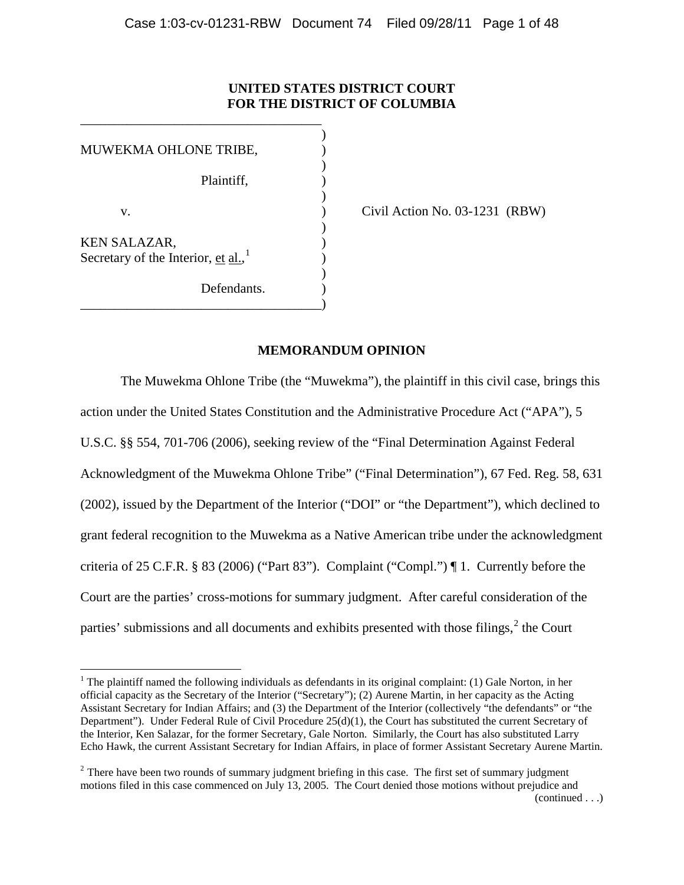# **UNITED STATES DISTRICT COURT FOR THE DISTRICT OF COLUMBIA**

)

)

)

)

)

MUWEKMA OHLONE TRIBE, ) Plaintiff, ) v. (a)  $\qquad \qquad$  (ivil Action No. 03-1231 (RBW) KEN SALAZAR. Secretary of the Interior,  $et al.,<sup>1</sup>$ </u>  $\frac{1}{\sqrt{1-\frac{1}{2}}}\left( \frac{1}{\sqrt{1-\frac{1}{2}}}\right)$  $\frac{1}{\sqrt{1-\frac{1}{2}}}\left( \frac{1}{\sqrt{1-\frac{1}{2}}}\right)$  $\frac{1}{\sqrt{1-\frac{1}{2}}}\left( \frac{1}{\sqrt{1-\frac{1}{2}}}\right)$ Defendants. \_\_\_\_\_\_\_\_\_\_\_\_\_\_\_\_\_\_\_\_\_\_\_\_\_\_\_\_\_\_\_\_\_\_\_\_)

\_\_\_\_\_\_\_\_\_\_\_\_\_\_\_\_\_\_\_\_\_\_\_\_\_\_\_\_\_\_\_\_\_\_\_\_

# **MEMORANDUM OPINION**

The Muwekma Ohlone Tribe (the "Muwekma"), the plaintiff in this civil case, brings this action under the United States Constitution and the Administrative Procedure Act ("APA"), 5 U.S.C. §§ 554, 701-706 (2006), seeking review of the "Final Determination Against Federal Acknowledgment of the Muwekma Ohlone Tribe" ("Final Determination"), 67 Fed. Reg. 58, 631 (2002), issued by the Department of the Interior ("DOI" or "the Department"), which declined to grant federal recognition to the Muwekma as a Native American tribe under the acknowledgment criteria of 25 C.F.R. § 83 (2006) ("Part 83"). Complaint ("Compl.") ¶ 1. Currently before the Court are the parties' cross-motions for summary judgment. After careful consideration of the parties' submissions and all documents and exhibits presented with those filings,  $2$  the Court

<sup>&</sup>lt;sup>1</sup> The plaintiff named the following individuals as defendants in its original complaint: (1) Gale Norton, in her official capacity as the Secretary of the Interior ("Secretary"); (2) Aurene Martin, in her capacity as the Acting Assistant Secretary for Indian Affairs; and (3) the Department of the Interior (collectively "the defendants" or "the Department"). Under Federal Rule of Civil Procedure 25(d)(1), the Court has substituted the current Secretary of the Interior, Ken Salazar, for the former Secretary, Gale Norton. Similarly, the Court has also substituted Larry Echo Hawk, the current Assistant Secretary for Indian Affairs, in place of former Assistant Secretary Aurene Martin.

<span id="page-0-0"></span> $2$  There have been two rounds of summary judgment briefing in this case. The first set of summary judgment motions filed in this case commenced on July 13, 2005. The Court denied those motions without prejudice and (continued . . .)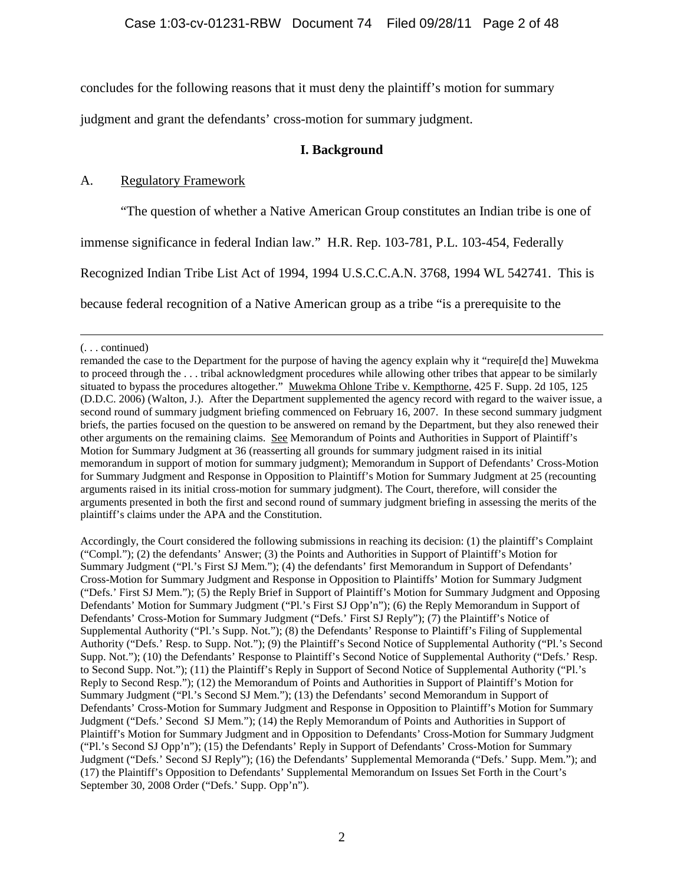concludes for the following reasons that it must deny the plaintiff's motion for summary

judgment and grant the defendants' cross-motion for summary judgment.

# **I. Background**

# A. Regulatory Framework

"The question of whether a Native American Group constitutes an Indian tribe is one of

immense significance in federal Indian law." H.R. Rep. 103-781, P.L. 103-454, Federally

Recognized Indian Tribe List Act of 1994, 1994 U.S.C.C.A.N. 3768, 1994 WL 542741. This is

because federal recognition of a Native American group as a tribe "is a prerequisite to the

Accordingly, the Court considered the following submissions in reaching its decision: (1) the plaintiff's Complaint ("Compl."); (2) the defendants' Answer; (3) the Points and Authorities in Support of Plaintiff's Motion for Summary Judgment ("Pl.'s First SJ Mem."); (4) the defendants' first Memorandum in Support of Defendants' Cross-Motion for Summary Judgment and Response in Opposition to Plaintiffs' Motion for Summary Judgment ("Defs.' First SJ Mem."); (5) the Reply Brief in Support of Plaintiff's Motion for Summary Judgment and Opposing Defendants' Motion for Summary Judgment ("Pl.'s First SJ Opp'n"); (6) the Reply Memorandum in Support of Defendants' Cross-Motion for Summary Judgment ("Defs.' First SJ Reply"); (7) the Plaintiff's Notice of Supplemental Authority ("Pl.'s Supp. Not."); (8) the Defendants' Response to Plaintiff's Filing of Supplemental Authority ("Defs.' Resp. to Supp. Not."); (9) the Plaintiff's Second Notice of Supplemental Authority ("Pl.'s Second Supp. Not."); (10) the Defendants' Response to Plaintiff's Second Notice of Supplemental Authority ("Defs.' Resp. to Second Supp. Not."); (11) the Plaintiff's Reply in Support of Second Notice of Supplemental Authority ("Pl.'s Reply to Second Resp."); (12) the Memorandum of Points and Authorities in Support of Plaintiff's Motion for Summary Judgment ("Pl.'s Second SJ Mem."); (13) the Defendants' second Memorandum in Support of Defendants' Cross-Motion for Summary Judgment and Response in Opposition to Plaintiff's Motion for Summary Judgment ("Defs.' Second SJ Mem."); (14) the Reply Memorandum of Points and Authorities in Support of Plaintiff's Motion for Summary Judgment and in Opposition to Defendants' Cross-Motion for Summary Judgment ("Pl.'s Second SJ Opp'n"); (15) the Defendants' Reply in Support of Defendants' Cross-Motion for Summary Judgment ("Defs.' Second SJ Reply"); (16) the Defendants' Supplemental Memoranda ("Defs.' Supp. Mem."); and (17) the Plaintiff's Opposition to Defendants' Supplemental Memorandum on Issues Set Forth in the Court's September 30, 2008 Order ("Defs.' Supp. Opp'n").

 <sup>(. . .</sup> continued)

remanded the case to the Department for the purpose of having the agency explain why it "require[d the] Muwekma to proceed through the . . . tribal acknowledgment procedures while allowing other tribes that appear to be similarly situated to bypass the procedures altogether." Muwekma Ohlone Tribe v. Kempthorne, 425 F. Supp. 2d 105, 125 (D.D.C. 2006) (Walton, J.). After the Department supplemented the agency record with regard to the waiver issue, a second round of summary judgment briefing commenced on February 16, 2007. In these second summary judgment briefs, the parties focused on the question to be answered on remand by the Department, but they also renewed their other arguments on the remaining claims. See Memorandum of Points and Authorities in Support of Plaintiff's Motion for Summary Judgment at 36 (reasserting all grounds for summary judgment raised in its initial memorandum in support of motion for summary judgment); Memorandum in Support of Defendants' Cross-Motion for Summary Judgment and Response in Opposition to Plaintiff's Motion for Summary Judgment at 25 (recounting arguments raised in its initial cross-motion for summary judgment). The Court, therefore, will consider the arguments presented in both the first and second round of summary judgment briefing in assessing the merits of the plaintiff's claims under the APA and the Constitution.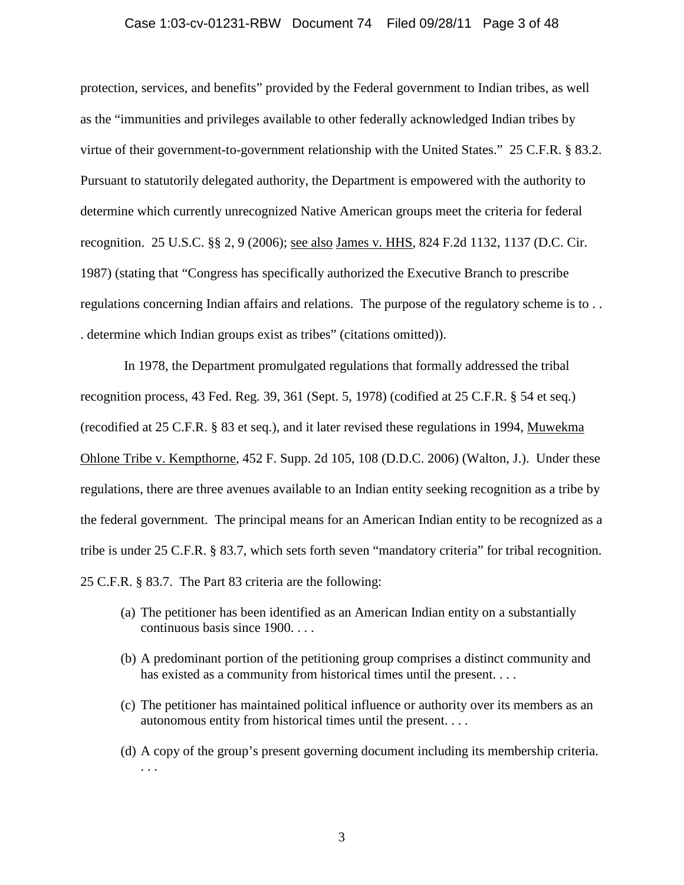### Case 1:03-cv-01231-RBW Document 74 Filed 09/28/11 Page 3 of 48

protection, services, and benefits" provided by the Federal government to Indian tribes, as well as the "immunities and privileges available to other federally acknowledged Indian tribes by virtue of their government-to-government relationship with the United States." 25 C.F.R. § 83.2. Pursuant to statutorily delegated authority, the Department is empowered with the authority to determine which currently unrecognized Native American groups meet the criteria for federal recognition. 25 U.S.C. §§ 2, 9 (2006); see also James v. HHS, 824 F.2d 1132, 1137 (D.C. Cir. 1987) (stating that "Congress has specifically authorized the Executive Branch to prescribe regulations concerning Indian affairs and relations. The purpose of the regulatory scheme is to . . . determine which Indian groups exist as tribes" (citations omitted)).

In 1978, the Department promulgated regulations that formally addressed the tribal recognition process, 43 Fed. Reg. 39, 361 (Sept. 5, 1978) (codified at 25 C.F.R. § 54 et seq.) (recodified at 25 C.F.R. § 83 et seq.), and it later revised these regulations in 1994, Muwekma Ohlone Tribe v. Kempthorne, 452 F. Supp. 2d 105, 108 (D.D.C. 2006) (Walton, J.). Under these regulations, there are three avenues available to an Indian entity seeking recognition as a tribe by the federal government. The principal means for an American Indian entity to be recognized as a tribe is under 25 C.F.R. § 83.7, which sets forth seven "mandatory criteria" for tribal recognition. 25 C.F.R. § 83.7. The Part 83 criteria are the following:

- (a) The petitioner has been identified as an American Indian entity on a substantially continuous basis since 1900. . . .
- (b) A predominant portion of the petitioning group comprises a distinct community and has existed as a community from historical times until the present. . . .
- (c) The petitioner has maintained political influence or authority over its members as an autonomous entity from historical times until the present. . . .
- (d) A copy of the group's present governing document including its membership criteria. . . .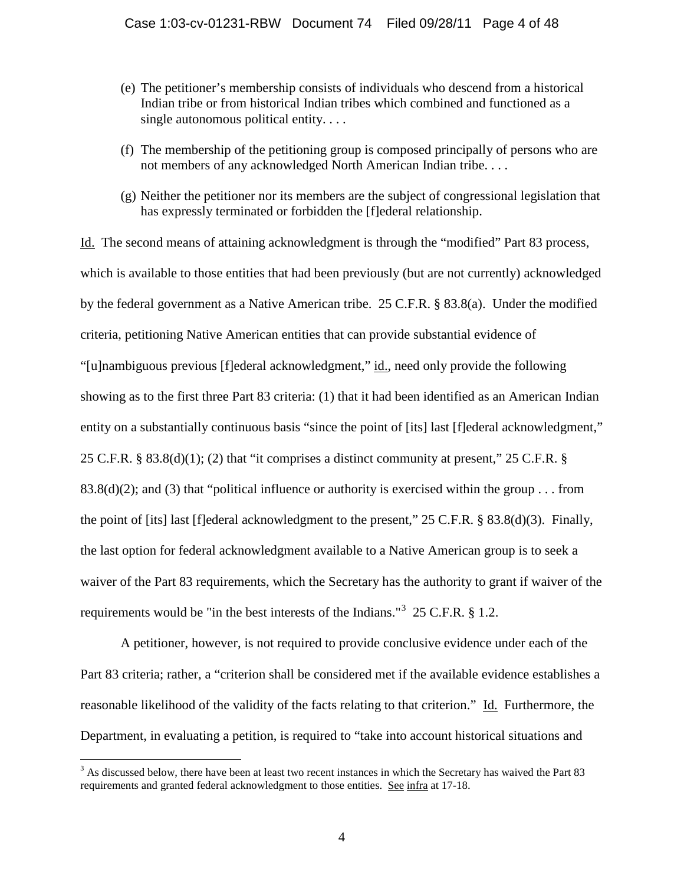- (e) The petitioner's membership consists of individuals who descend from a historical Indian tribe or from historical Indian tribes which combined and functioned as a single autonomous political entity....
- (f) The membership of the petitioning group is composed principally of persons who are not members of any acknowledged North American Indian tribe. . . .
- (g) Neither the petitioner nor its members are the subject of congressional legislation that has expressly terminated or forbidden the [f]ederal relationship.

Id. The second means of attaining acknowledgment is through the "modified" Part 83 process, which is available to those entities that had been previously (but are not currently) acknowledged by the federal government as a Native American tribe. 25 C.F.R. § 83.8(a). Under the modified criteria, petitioning Native American entities that can provide substantial evidence of "[u]nambiguous previous [f]ederal acknowledgment," id., need only provide the following showing as to the first three Part 83 criteria: (1) that it had been identified as an American Indian entity on a substantially continuous basis "since the point of [its] last [f]ederal acknowledgment," 25 C.F.R. § 83.8(d)(1); (2) that "it comprises a distinct community at present," 25 C.F.R. § 83.8(d)(2); and (3) that "political influence or authority is exercised within the group . . . from the point of [its] last [f]ederal acknowledgment to the present," 25 C.F.R. § 83.8(d)(3). Finally, the last option for federal acknowledgment available to a Native American group is to seek a waiver of the Part 83 requirements, which the Secretary has the authority to grant if waiver of the requirements would be "in the best interests of the Indians."<sup>[3](#page-0-0)</sup> 25 C.F.R.  $\S$  1.2.

<span id="page-3-0"></span>A petitioner, however, is not required to provide conclusive evidence under each of the Part 83 criteria; rather, a "criterion shall be considered met if the available evidence establishes a reasonable likelihood of the validity of the facts relating to that criterion." Id. Furthermore, the Department, in evaluating a petition, is required to "take into account historical situations and

<sup>&</sup>lt;sup>3</sup> As discussed below, there have been at least two recent instances in which the Secretary has waived the Part 83 requirements and granted federal acknowledgment to those entities. See infra at 17-18.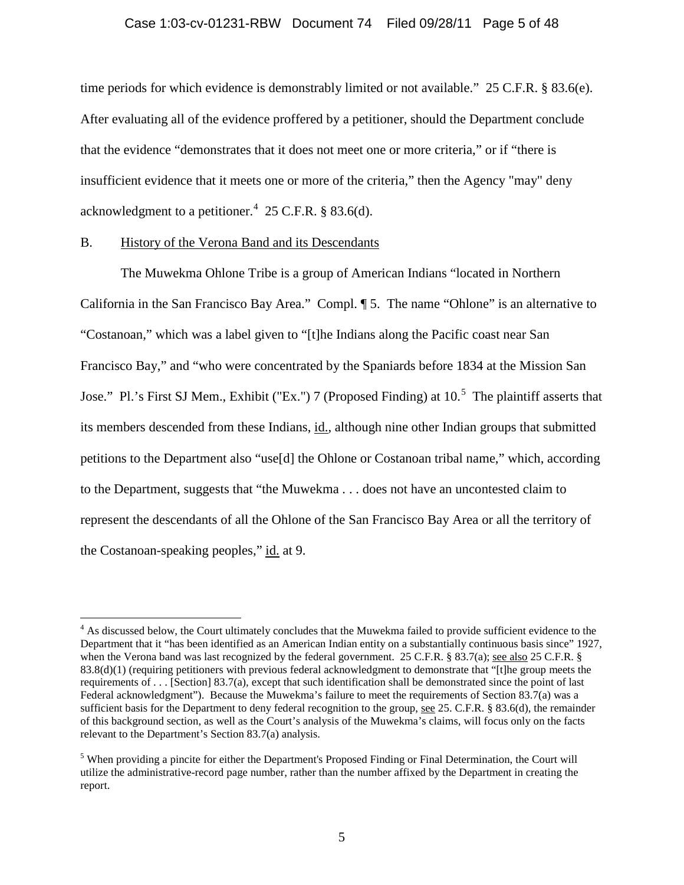## Case 1:03-cv-01231-RBW Document 74 Filed 09/28/11 Page 5 of 48

time periods for which evidence is demonstrably limited or not available." 25 C.F.R. § 83.6(e). After evaluating all of the evidence proffered by a petitioner, should the Department conclude that the evidence "demonstrates that it does not meet one or more criteria," or if "there is insufficient evidence that it meets one or more of the criteria," then the Agency "may" deny acknowledgment to a petitioner. $4\,$  $4\,$  25 C.F.R. § 83.6(d).

## B. History of the Verona Band and its Descendants

The Muwekma Ohlone Tribe is a group of American Indians "located in Northern California in the San Francisco Bay Area." Compl. ¶ 5. The name "Ohlone" is an alternative to "Costanoan," which was a label given to "[t]he Indians along the Pacific coast near San Francisco Bay," and "who were concentrated by the Spaniards before 1834 at the Mission San Jose." Pl.'s First SJ Mem., Exhibit ("Ex.") 7 (Proposed Finding) at  $10<sup>5</sup>$  $10<sup>5</sup>$  $10<sup>5</sup>$  The plaintiff asserts that its members descended from these Indians, id., although nine other Indian groups that submitted petitions to the Department also "use[d] the Ohlone or Costanoan tribal name," which, according to the Department, suggests that "the Muwekma . . . does not have an uncontested claim to represent the descendants of all the Ohlone of the San Francisco Bay Area or all the territory of the Costanoan-speaking peoples," id. at 9.

<span id="page-4-1"></span><sup>&</sup>lt;sup>4</sup> As discussed below, the Court ultimately concludes that the Muwekma failed to provide sufficient evidence to the Department that it "has been identified as an American Indian entity on a substantially continuous basis since" 1927, when the Verona band was last recognized by the federal government. 25 C.F.R. § 83.7(a); see also 25 C.F.R. § 83.8(d)(1) (requiring petitioners with previous federal acknowledgment to demonstrate that "[t]he group meets the requirements of . . . [Section] 83.7(a), except that such identification shall be demonstrated since the point of last Federal acknowledgment"). Because the Muwekma's failure to meet the requirements of Section 83.7(a) was a sufficient basis for the Department to deny federal recognition to the group, see 25. C.F.R. § 83.6(d), the remainder of this background section, as well as the Court's analysis of the Muwekma's claims, will focus only on the facts relevant to the Department's Section 83.7(a) analysis.

<span id="page-4-0"></span><sup>&</sup>lt;sup>5</sup> When providing a pincite for either the Department's Proposed Finding or Final Determination, the Court will utilize the administrative-record page number, rather than the number affixed by the Department in creating the report.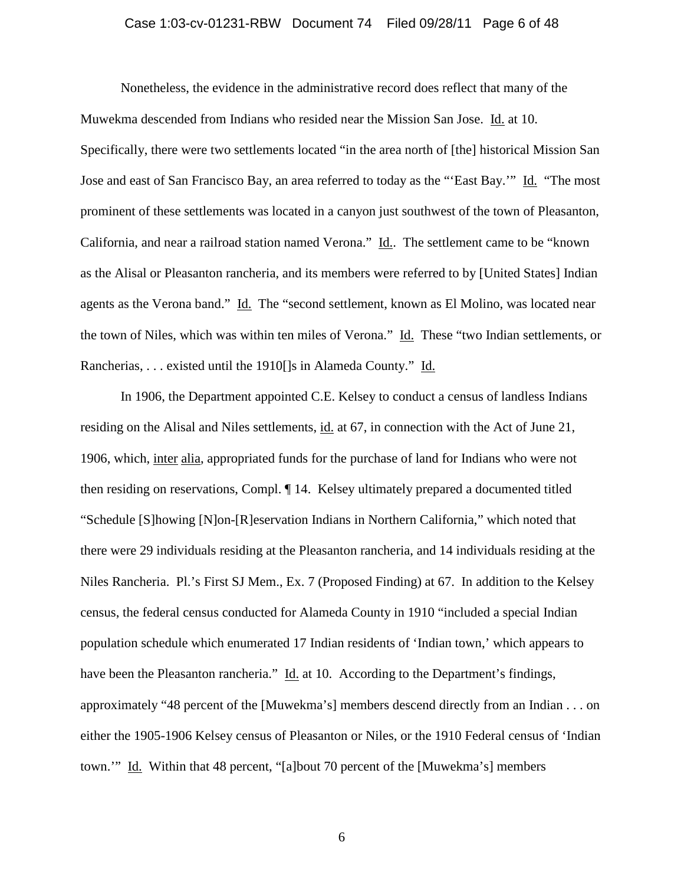### Case 1:03-cv-01231-RBW Document 74 Filed 09/28/11 Page 6 of 48

Nonetheless, the evidence in the administrative record does reflect that many of the Muwekma descended from Indians who resided near the Mission San Jose. Id. at 10. Specifically, there were two settlements located "in the area north of [the] historical Mission San Jose and east of San Francisco Bay, an area referred to today as the "'East Bay.'" Id. "The most prominent of these settlements was located in a canyon just southwest of the town of Pleasanton, California, and near a railroad station named Verona." Id.. The settlement came to be "known as the Alisal or Pleasanton rancheria, and its members were referred to by [United States] Indian agents as the Verona band." Id. The "second settlement, known as El Molino, was located near the town of Niles, which was within ten miles of Verona." Id. These "two Indian settlements, or Rancherias, . . . existed until the 1910[]s in Alameda County." Id.

In 1906, the Department appointed C.E. Kelsey to conduct a census of landless Indians residing on the Alisal and Niles settlements, id. at 67, in connection with the Act of June 21, 1906, which, inter alia, appropriated funds for the purchase of land for Indians who were not then residing on reservations, Compl. ¶ 14. Kelsey ultimately prepared a documented titled "Schedule [S]howing [N]on-[R]eservation Indians in Northern California," which noted that there were 29 individuals residing at the Pleasanton rancheria, and 14 individuals residing at the Niles Rancheria. Pl.'s First SJ Mem., Ex. 7 (Proposed Finding) at 67. In addition to the Kelsey census, the federal census conducted for Alameda County in 1910 "included a special Indian population schedule which enumerated 17 Indian residents of 'Indian town,' which appears to have been the Pleasanton rancheria." Id. at 10. According to the Department's findings, approximately "48 percent of the [Muwekma's] members descend directly from an Indian . . . on either the 1905-1906 Kelsey census of Pleasanton or Niles, or the 1910 Federal census of 'Indian town."" Id. Within that 48 percent, "[a]bout 70 percent of the [Muwekma's] members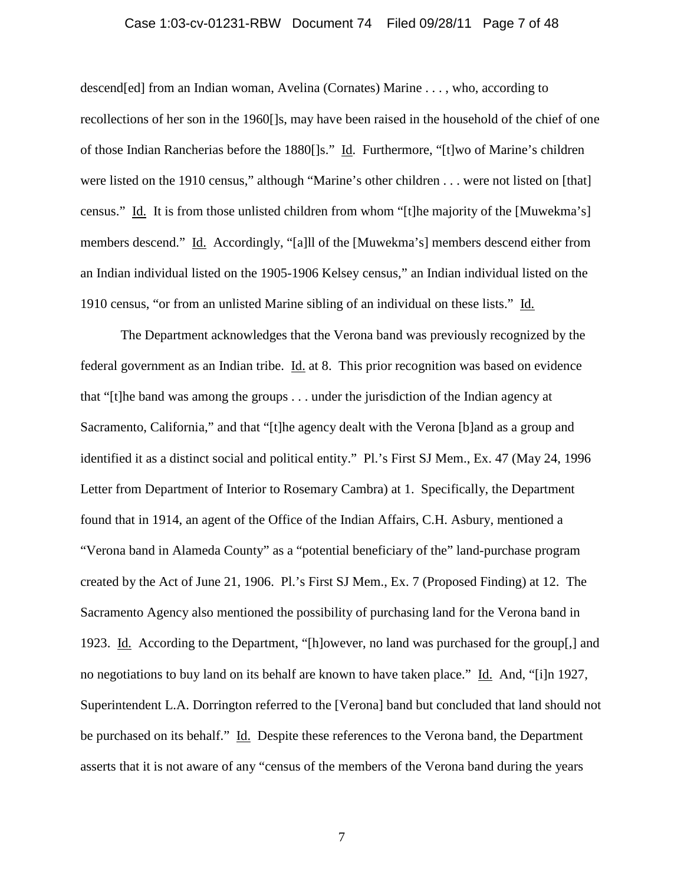### Case 1:03-cv-01231-RBW Document 74 Filed 09/28/11 Page 7 of 48

descend[ed] from an Indian woman, Avelina (Cornates) Marine . . . , who, according to recollections of her son in the 1960[]s, may have been raised in the household of the chief of one of those Indian Rancherias before the 1880[]s." Id. Furthermore, "[t]wo of Marine's children were listed on the 1910 census," although "Marine's other children . . . were not listed on [that] census." Id. It is from those unlisted children from whom "[t]he majority of the [Muwekma's] members descend." Id. Accordingly, "[a]ll of the [Muwekma's] members descend either from an Indian individual listed on the 1905-1906 Kelsey census," an Indian individual listed on the 1910 census, "or from an unlisted Marine sibling of an individual on these lists." Id.

The Department acknowledges that the Verona band was previously recognized by the federal government as an Indian tribe. Id. at 8. This prior recognition was based on evidence that "[t]he band was among the groups . . . under the jurisdiction of the Indian agency at Sacramento, California," and that "[t]he agency dealt with the Verona [b]and as a group and identified it as a distinct social and political entity." Pl.'s First SJ Mem., Ex. 47 (May 24, 1996 Letter from Department of Interior to Rosemary Cambra) at 1. Specifically, the Department found that in 1914, an agent of the Office of the Indian Affairs, C.H. Asbury, mentioned a "Verona band in Alameda County" as a "potential beneficiary of the" land-purchase program created by the Act of June 21, 1906. Pl.'s First SJ Mem., Ex. 7 (Proposed Finding) at 12. The Sacramento Agency also mentioned the possibility of purchasing land for the Verona band in 1923. Id. According to the Department, "[h]owever, no land was purchased for the group[,] and no negotiations to buy land on its behalf are known to have taken place." Id. And, "[i]n 1927, Superintendent L.A. Dorrington referred to the [Verona] band but concluded that land should not be purchased on its behalf." Id. Despite these references to the Verona band, the Department asserts that it is not aware of any "census of the members of the Verona band during the years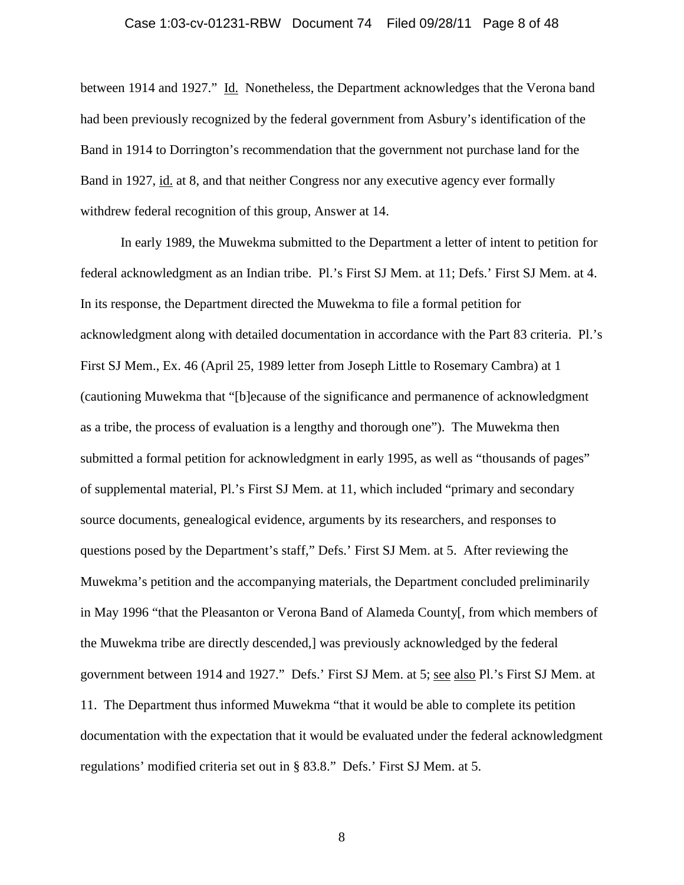### Case 1:03-cv-01231-RBW Document 74 Filed 09/28/11 Page 8 of 48

between 1914 and 1927." Id. Nonetheless, the Department acknowledges that the Verona band had been previously recognized by the federal government from Asbury's identification of the Band in 1914 to Dorrington's recommendation that the government not purchase land for the Band in 1927, id. at 8, and that neither Congress nor any executive agency ever formally withdrew federal recognition of this group, Answer at 14.

In early 1989, the Muwekma submitted to the Department a letter of intent to petition for federal acknowledgment as an Indian tribe. Pl.'s First SJ Mem. at 11; Defs.' First SJ Mem. at 4. In its response, the Department directed the Muwekma to file a formal petition for acknowledgment along with detailed documentation in accordance with the Part 83 criteria. Pl.'s First SJ Mem., Ex. 46 (April 25, 1989 letter from Joseph Little to Rosemary Cambra) at 1 (cautioning Muwekma that "[b]ecause of the significance and permanence of acknowledgment as a tribe, the process of evaluation is a lengthy and thorough one"). The Muwekma then submitted a formal petition for acknowledgment in early 1995, as well as "thousands of pages" of supplemental material, Pl.'s First SJ Mem. at 11, which included "primary and secondary source documents, genealogical evidence, arguments by its researchers, and responses to questions posed by the Department's staff," Defs.' First SJ Mem. at 5. After reviewing the Muwekma's petition and the accompanying materials, the Department concluded preliminarily in May 1996 "that the Pleasanton or Verona Band of Alameda County[, from which members of the Muwekma tribe are directly descended,] was previously acknowledged by the federal government between 1914 and 1927." Defs.' First SJ Mem. at 5; see also Pl.'s First SJ Mem. at 11. The Department thus informed Muwekma "that it would be able to complete its petition documentation with the expectation that it would be evaluated under the federal acknowledgment regulations' modified criteria set out in § 83.8." Defs.' First SJ Mem. at 5.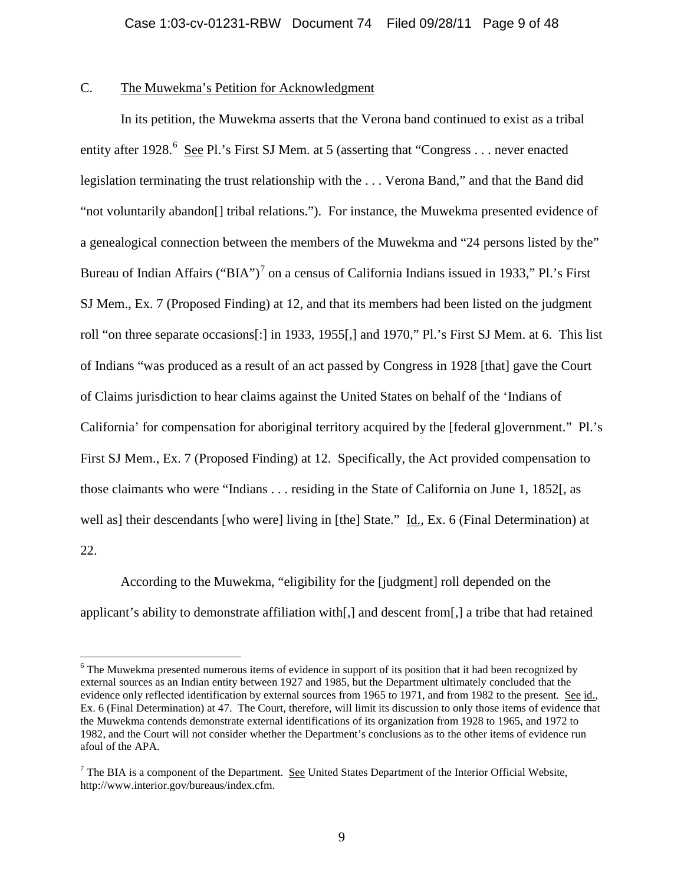# C. The Muwekma's Petition for Acknowledgment

In its petition, the Muwekma asserts that the Verona band continued to exist as a tribal entity after 1928.<sup>[6](#page-4-1)</sup> See Pl.'s First SJ Mem. at 5 (asserting that "Congress . . . never enacted legislation terminating the trust relationship with the . . . Verona Band," and that the Band did "not voluntarily abandon[] tribal relations."). For instance, the Muwekma presented evidence of a genealogical connection between the members of the Muwekma and "24 persons listed by the" Bureau of Indian Affairs ("BIA")<sup>[7](#page-8-0)</sup> on a census of California Indians issued in 1933," Pl.'s First SJ Mem., Ex. 7 (Proposed Finding) at 12, and that its members had been listed on the judgment roll "on three separate occasions[:] in 1933, 1955[,] and 1970," Pl.'s First SJ Mem. at 6. This list of Indians "was produced as a result of an act passed by Congress in 1928 [that] gave the Court of Claims jurisdiction to hear claims against the United States on behalf of the 'Indians of California' for compensation for aboriginal territory acquired by the [federal g]overnment." Pl.'s First SJ Mem., Ex. 7 (Proposed Finding) at 12. Specifically, the Act provided compensation to those claimants who were "Indians . . . residing in the State of California on June 1, 1852[, as well as] their descendants [who were] living in [the] State." Id., Ex. 6 (Final Determination) at 22.

According to the Muwekma, "eligibility for the [judgment] roll depended on the applicant's ability to demonstrate affiliation with[,] and descent from[,] a tribe that had retained

<sup>&</sup>lt;sup>6</sup> The Muwekma presented numerous items of evidence in support of its position that it had been recognized by external sources as an Indian entity between 1927 and 1985, but the Department ultimately concluded that the evidence only reflected identification by external sources from 1965 to 1971, and from 1982 to the present. See id., Ex. 6 (Final Determination) at 47. The Court, therefore, will limit its discussion to only those items of evidence that the Muwekma contends demonstrate external identifications of its organization from 1928 to 1965, and 1972 to 1982, and the Court will not consider whether the Department's conclusions as to the other items of evidence run afoul of the APA.

<span id="page-8-1"></span><span id="page-8-0"></span> $<sup>7</sup>$  The BIA is a component of the Department. See United States Department of the Interior Official Website,</sup> http://www.interior.gov/bureaus/index.cfm.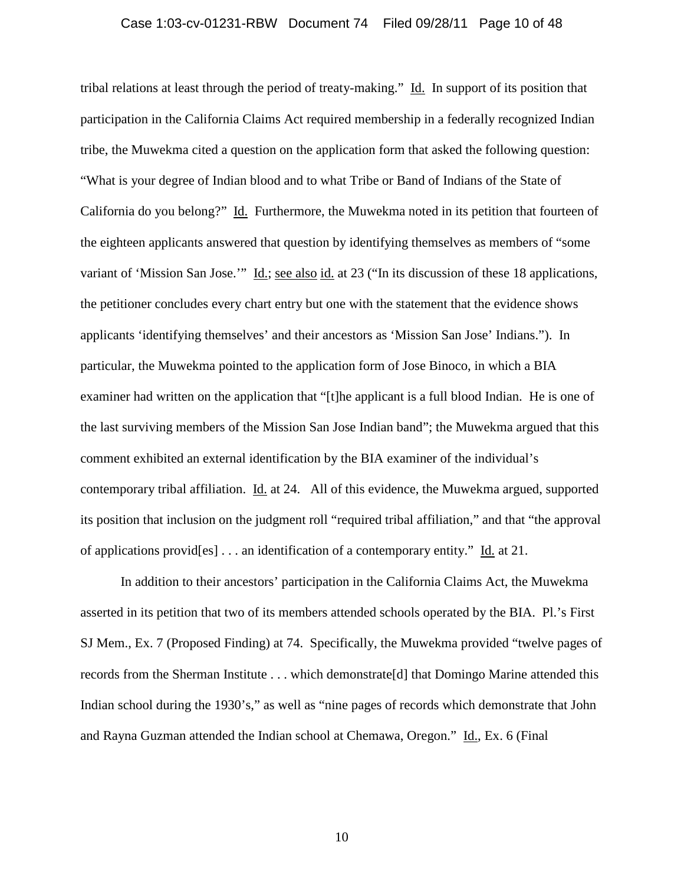### Case 1:03-cv-01231-RBW Document 74 Filed 09/28/11 Page 10 of 48

tribal relations at least through the period of treaty-making." Id. In support of its position that participation in the California Claims Act required membership in a federally recognized Indian tribe, the Muwekma cited a question on the application form that asked the following question: "What is your degree of Indian blood and to what Tribe or Band of Indians of the State of California do you belong?" Id. Furthermore, the Muwekma noted in its petition that fourteen of the eighteen applicants answered that question by identifying themselves as members of "some variant of 'Mission San Jose.'" Id.; see also id. at 23 ("In its discussion of these 18 applications, the petitioner concludes every chart entry but one with the statement that the evidence shows applicants 'identifying themselves' and their ancestors as 'Mission San Jose' Indians."). In particular, the Muwekma pointed to the application form of Jose Binoco, in which a BIA examiner had written on the application that "[t]he applicant is a full blood Indian. He is one of the last surviving members of the Mission San Jose Indian band"; the Muwekma argued that this comment exhibited an external identification by the BIA examiner of the individual's contemporary tribal affiliation. Id. at 24. All of this evidence, the Muwekma argued, supported its position that inclusion on the judgment roll "required tribal affiliation," and that "the approval of applications provid[es] . . . an identification of a contemporary entity." Id. at 21.

In addition to their ancestors' participation in the California Claims Act, the Muwekma asserted in its petition that two of its members attended schools operated by the BIA. Pl.'s First SJ Mem., Ex. 7 (Proposed Finding) at 74. Specifically, the Muwekma provided "twelve pages of records from the Sherman Institute . . . which demonstrate[d] that Domingo Marine attended this Indian school during the 1930's," as well as "nine pages of records which demonstrate that John and Rayna Guzman attended the Indian school at Chemawa, Oregon." Id., Ex. 6 (Final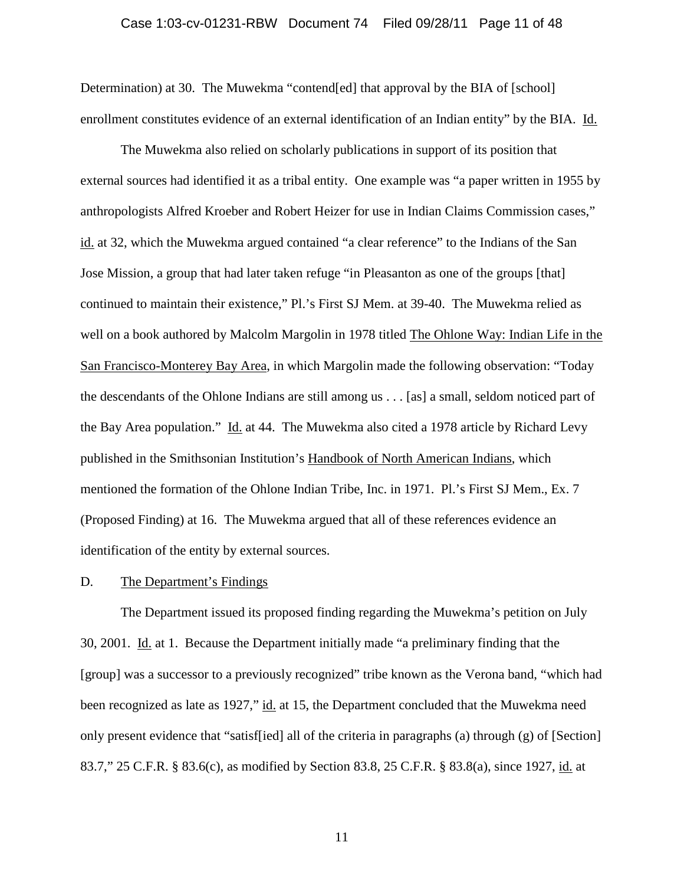### Case 1:03-cv-01231-RBW Document 74 Filed 09/28/11 Page 11 of 48

Determination) at 30. The Muwekma "contend[ed] that approval by the BIA of [school] enrollment constitutes evidence of an external identification of an Indian entity" by the BIA. Id.

The Muwekma also relied on scholarly publications in support of its position that external sources had identified it as a tribal entity. One example was "a paper written in 1955 by anthropologists Alfred Kroeber and Robert Heizer for use in Indian Claims Commission cases," id. at 32, which the Muwekma argued contained "a clear reference" to the Indians of the San Jose Mission, a group that had later taken refuge "in Pleasanton as one of the groups [that] continued to maintain their existence," Pl.'s First SJ Mem. at 39-40. The Muwekma relied as well on a book authored by Malcolm Margolin in 1978 titled The Ohlone Way: Indian Life in the San Francisco-Monterey Bay Area, in which Margolin made the following observation: "Today the descendants of the Ohlone Indians are still among us . . . [as] a small, seldom noticed part of the Bay Area population." Id. at 44. The Muwekma also cited a 1978 article by Richard Levy published in the Smithsonian Institution's Handbook of North American Indians, which mentioned the formation of the Ohlone Indian Tribe, Inc. in 1971. Pl.'s First SJ Mem., Ex. 7 (Proposed Finding) at 16. The Muwekma argued that all of these references evidence an identification of the entity by external sources.

#### D. The Department's Findings

The Department issued its proposed finding regarding the Muwekma's petition on July 30, 2001. Id. at 1. Because the Department initially made "a preliminary finding that the [group] was a successor to a previously recognized" tribe known as the Verona band, "which had been recognized as late as 1927," id. at 15, the Department concluded that the Muwekma need only present evidence that "satisf[ied] all of the criteria in paragraphs (a) through (g) of [Section] 83.7," 25 C.F.R. § 83.6(c), as modified by Section 83.8, 25 C.F.R. § 83.8(a), since 1927, id. at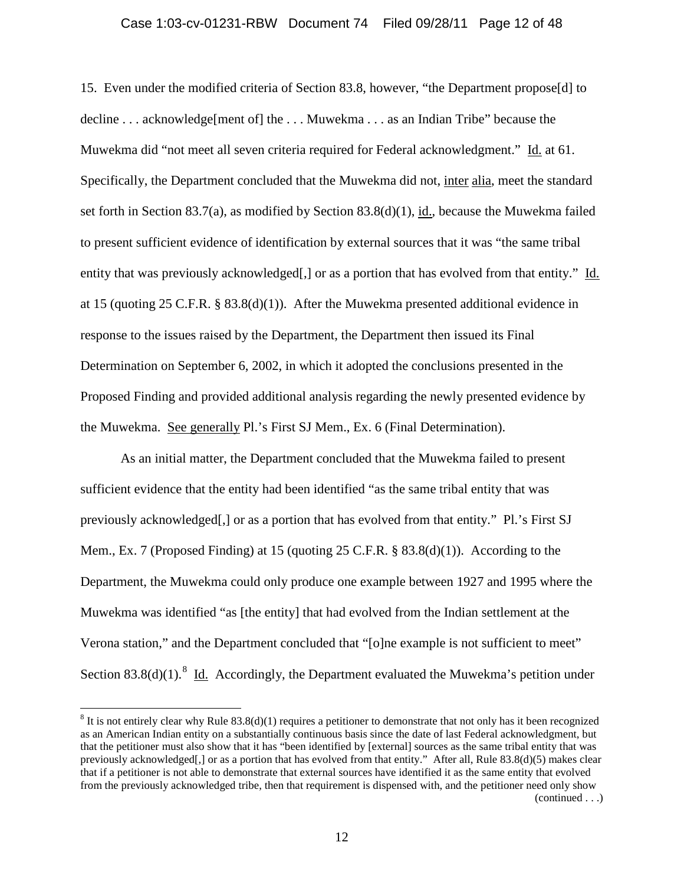### Case 1:03-cv-01231-RBW Document 74 Filed 09/28/11 Page 12 of 48

15. Even under the modified criteria of Section 83.8, however, "the Department propose[d] to decline . . . acknowledge[ment of] the . . . Muwekma . . . as an Indian Tribe" because the Muwekma did "not meet all seven criteria required for Federal acknowledgment." Id. at 61. Specifically, the Department concluded that the Muwekma did not, inter alia, meet the standard set forth in Section 83.7(a), as modified by Section 83.8(d)(1), id., because the Muwekma failed to present sufficient evidence of identification by external sources that it was "the same tribal entity that was previously acknowledged[,] or as a portion that has evolved from that entity." Id. at 15 (quoting 25 C.F.R. § 83.8(d)(1)). After the Muwekma presented additional evidence in response to the issues raised by the Department, the Department then issued its Final Determination on September 6, 2002, in which it adopted the conclusions presented in the Proposed Finding and provided additional analysis regarding the newly presented evidence by the Muwekma. See generally Pl.'s First SJ Mem., Ex. 6 (Final Determination).

As an initial matter, the Department concluded that the Muwekma failed to present sufficient evidence that the entity had been identified "as the same tribal entity that was previously acknowledged[,] or as a portion that has evolved from that entity." Pl.'s First SJ Mem., Ex. 7 (Proposed Finding) at 15 (quoting 25 C.F.R. § 83.8(d)(1)). According to the Department, the Muwekma could only produce one example between 1927 and 1995 where the Muwekma was identified "as [the entity] that had evolved from the Indian settlement at the Verona station," and the Department concluded that "[o]ne example is not sufficient to meet" Section [8](#page-8-1)3.8(d)(1).<sup>8</sup> Id. Accordingly, the Department evaluated the Muwekma's petition under

<span id="page-11-0"></span> $8$  It is not entirely clear why Rule 83.8(d)(1) requires a petitioner to demonstrate that not only has it been recognized as an American Indian entity on a substantially continuous basis since the date of last Federal acknowledgment, but that the petitioner must also show that it has "been identified by [external] sources as the same tribal entity that was previously acknowledged[,] or as a portion that has evolved from that entity." After all, Rule 83.8(d)(5) makes clear that if a petitioner is not able to demonstrate that external sources have identified it as the same entity that evolved from the previously acknowledged tribe, then that requirement is dispensed with, and the petitioner need only show (continued . . .)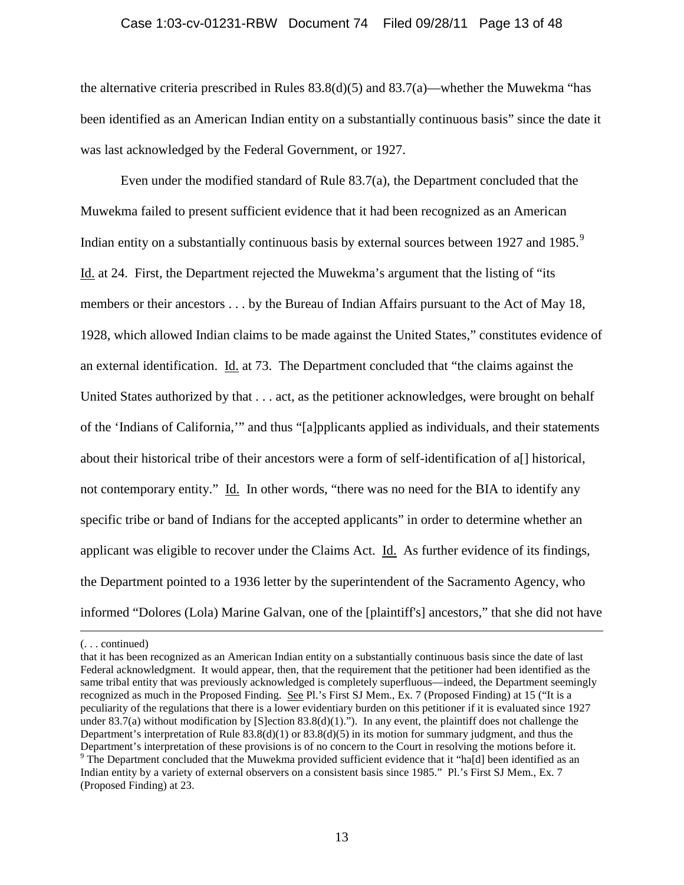### Case 1:03-cv-01231-RBW Document 74 Filed 09/28/11 Page 13 of 48

the alternative criteria prescribed in Rules 83.8(d)(5) and 83.7(a)—whether the Muwekma "has been identified as an American Indian entity on a substantially continuous basis" since the date it was last acknowledged by the Federal Government, or 1927.

Even under the modified standard of Rule 83.7(a), the Department concluded that the Muwekma failed to present sufficient evidence that it had been recognized as an American Indian entity on a substantially continuous basis by external sources between 1[9](#page-11-0)27 and 1985.<sup>9</sup> Id. at 24. First, the Department rejected the Muwekma's argument that the listing of "its members or their ancestors . . . by the Bureau of Indian Affairs pursuant to the Act of May 18, 1928, which allowed Indian claims to be made against the United States," constitutes evidence of an external identification. Id. at 73. The Department concluded that "the claims against the United States authorized by that . . . act, as the petitioner acknowledges, were brought on behalf of the 'Indians of California,'" and thus "[a]pplicants applied as individuals, and their statements about their historical tribe of their ancestors were a form of self-identification of a[] historical, not contemporary entity." Id. In other words, "there was no need for the BIA to identify any specific tribe or band of Indians for the accepted applicants" in order to determine whether an applicant was eligible to recover under the Claims Act. Id. As further evidence of its findings, the Department pointed to a 1936 letter by the superintendent of the Sacramento Agency, who informed "Dolores (Lola) Marine Galvan, one of the [plaintiff's] ancestors," that she did not have

<span id="page-12-0"></span> <sup>(. . .</sup> continued)

that it has been recognized as an American Indian entity on a substantially continuous basis since the date of last Federal acknowledgment. It would appear, then, that the requirement that the petitioner had been identified as the same tribal entity that was previously acknowledged is completely superfluous—indeed, the Department seemingly recognized as much in the Proposed Finding. See Pl.'s First SJ Mem., Ex. 7 (Proposed Finding) at 15 ("It is a peculiarity of the regulations that there is a lower evidentiary burden on this petitioner if it is evaluated since 1927 under 83.7(a) without modification by [S]ection 83.8(d)(1)."). In any event, the plaintiff does not challenge the Department's interpretation of Rule  $83.8(d)(1)$  or  $83.8(d)(5)$  in its motion for summary judgment, and thus the Department's interpretation of these provisions is of no concern to the Court in resolving the motions before it.<br><sup>9</sup> The Department concluded that the Muwekma provided sufficient evidence that it "ha[d] been identified as Indian entity by a variety of external observers on a consistent basis since 1985." Pl.'s First SJ Mem., Ex. 7 (Proposed Finding) at 23.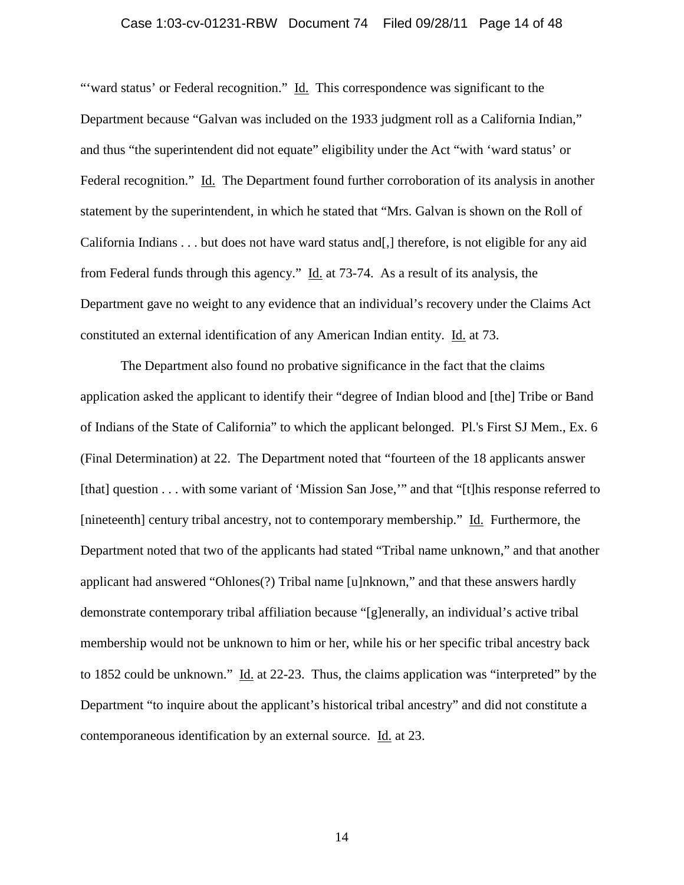### Case 1:03-cv-01231-RBW Document 74 Filed 09/28/11 Page 14 of 48

"'ward status' or Federal recognition." Id. This correspondence was significant to the Department because "Galvan was included on the 1933 judgment roll as a California Indian," and thus "the superintendent did not equate" eligibility under the Act "with 'ward status' or Federal recognition." Id. The Department found further corroboration of its analysis in another statement by the superintendent, in which he stated that "Mrs. Galvan is shown on the Roll of California Indians . . . but does not have ward status and[,] therefore, is not eligible for any aid from Federal funds through this agency." Id. at 73-74. As a result of its analysis, the Department gave no weight to any evidence that an individual's recovery under the Claims Act constituted an external identification of any American Indian entity. Id. at 73.

The Department also found no probative significance in the fact that the claims application asked the applicant to identify their "degree of Indian blood and [the] Tribe or Band of Indians of the State of California" to which the applicant belonged. Pl.'s First SJ Mem., Ex. 6 (Final Determination) at 22. The Department noted that "fourteen of the 18 applicants answer [that] question . . . with some variant of 'Mission San Jose,'" and that "[t]his response referred to [nineteenth] century tribal ancestry, not to contemporary membership." Id. Furthermore, the Department noted that two of the applicants had stated "Tribal name unknown," and that another applicant had answered "Ohlones(?) Tribal name [u]nknown," and that these answers hardly demonstrate contemporary tribal affiliation because "[g]enerally, an individual's active tribal membership would not be unknown to him or her, while his or her specific tribal ancestry back to 1852 could be unknown." Id. at 22-23. Thus, the claims application was "interpreted" by the Department "to inquire about the applicant's historical tribal ancestry" and did not constitute a contemporaneous identification by an external source. Id. at 23.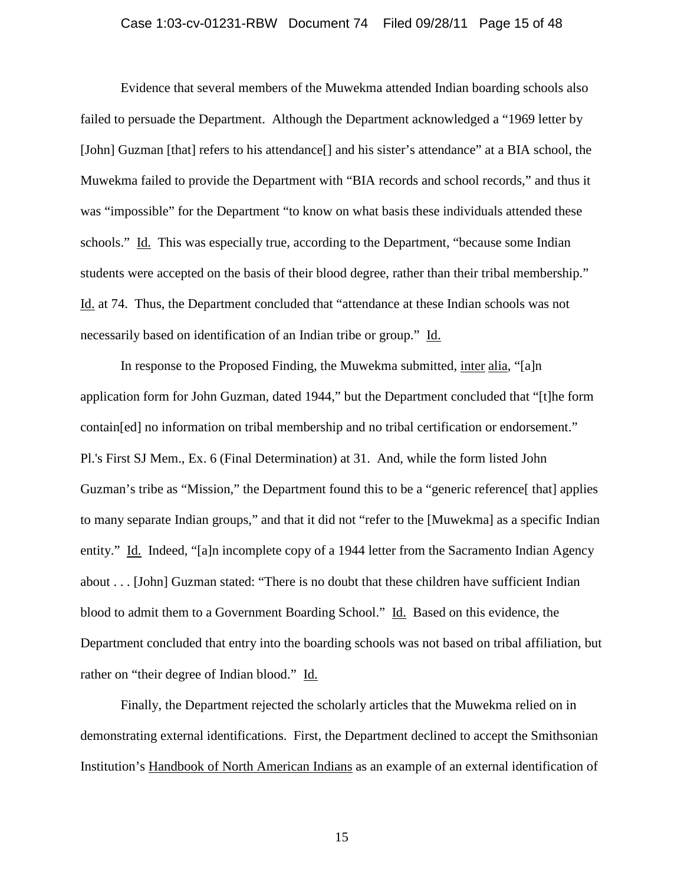### Case 1:03-cv-01231-RBW Document 74 Filed 09/28/11 Page 15 of 48

Evidence that several members of the Muwekma attended Indian boarding schools also failed to persuade the Department. Although the Department acknowledged a "1969 letter by [John] Guzman [that] refers to his attendance[] and his sister's attendance" at a BIA school, the Muwekma failed to provide the Department with "BIA records and school records," and thus it was "impossible" for the Department "to know on what basis these individuals attended these schools." Id. This was especially true, according to the Department, "because some Indian students were accepted on the basis of their blood degree, rather than their tribal membership." Id. at 74. Thus, the Department concluded that "attendance at these Indian schools was not necessarily based on identification of an Indian tribe or group." Id.

In response to the Proposed Finding, the Muwekma submitted, inter alia, "[a]n application form for John Guzman, dated 1944," but the Department concluded that "[t]he form contain[ed] no information on tribal membership and no tribal certification or endorsement." Pl.'s First SJ Mem., Ex. 6 (Final Determination) at 31. And, while the form listed John Guzman's tribe as "Mission," the Department found this to be a "generic reference [that] applies to many separate Indian groups," and that it did not "refer to the [Muwekma] as a specific Indian entity." Id. Indeed, "[a]n incomplete copy of a 1944 letter from the Sacramento Indian Agency about . . . [John] Guzman stated: "There is no doubt that these children have sufficient Indian blood to admit them to a Government Boarding School." Id. Based on this evidence, the Department concluded that entry into the boarding schools was not based on tribal affiliation, but rather on "their degree of Indian blood." Id.

Finally, the Department rejected the scholarly articles that the Muwekma relied on in demonstrating external identifications. First, the Department declined to accept the Smithsonian Institution's Handbook of North American Indians as an example of an external identification of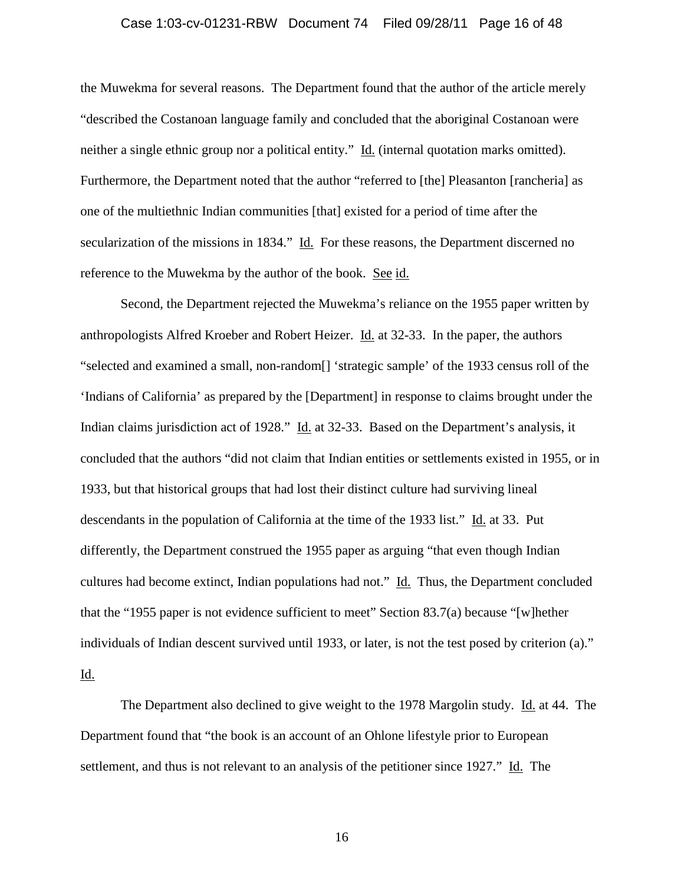### Case 1:03-cv-01231-RBW Document 74 Filed 09/28/11 Page 16 of 48

the Muwekma for several reasons. The Department found that the author of the article merely "described the Costanoan language family and concluded that the aboriginal Costanoan were neither a single ethnic group nor a political entity." Id. (internal quotation marks omitted). Furthermore, the Department noted that the author "referred to [the] Pleasanton [rancheria] as one of the multiethnic Indian communities [that] existed for a period of time after the secularization of the missions in 1834." Id. For these reasons, the Department discerned no reference to the Muwekma by the author of the book. See id.

Second, the Department rejected the Muwekma's reliance on the 1955 paper written by anthropologists Alfred Kroeber and Robert Heizer. Id. at 32-33. In the paper, the authors "selected and examined a small, non-random[] 'strategic sample' of the 1933 census roll of the 'Indians of California' as prepared by the [Department] in response to claims brought under the Indian claims jurisdiction act of 1928." Id. at 32-33. Based on the Department's analysis, it concluded that the authors "did not claim that Indian entities or settlements existed in 1955, or in 1933, but that historical groups that had lost their distinct culture had surviving lineal descendants in the population of California at the time of the 1933 list." Id. at 33. Put differently, the Department construed the 1955 paper as arguing "that even though Indian cultures had become extinct, Indian populations had not." Id. Thus, the Department concluded that the "1955 paper is not evidence sufficient to meet" Section 83.7(a) because "[w]hether individuals of Indian descent survived until 1933, or later, is not the test posed by criterion (a)." Id.

The Department also declined to give weight to the 1978 Margolin study. Id. at 44. The Department found that "the book is an account of an Ohlone lifestyle prior to European settlement, and thus is not relevant to an analysis of the petitioner since 1927." Id. The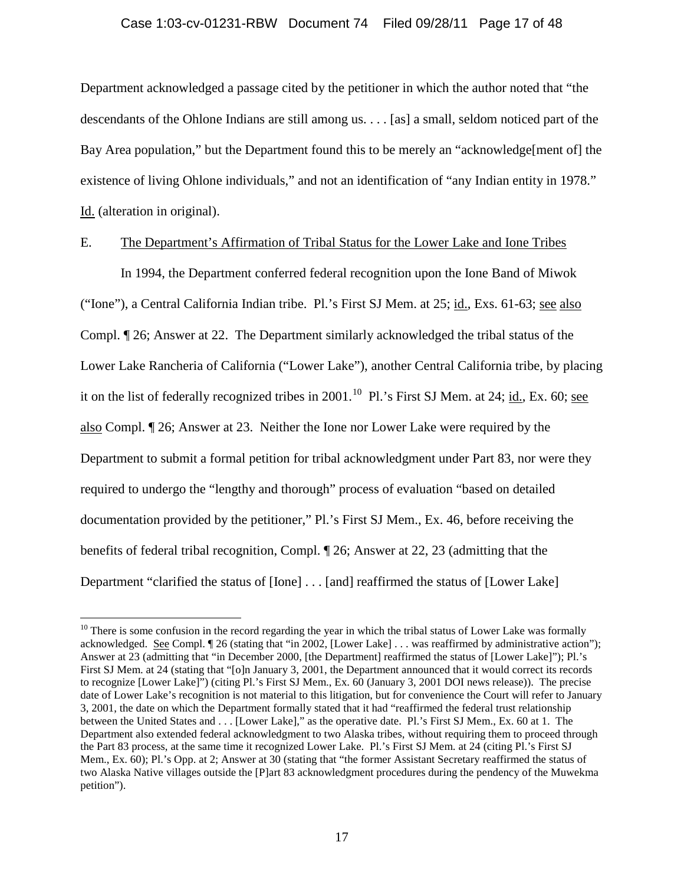### Case 1:03-cv-01231-RBW Document 74 Filed 09/28/11 Page 17 of 48

Department acknowledged a passage cited by the petitioner in which the author noted that "the descendants of the Ohlone Indians are still among us. . . . [as] a small, seldom noticed part of the Bay Area population," but the Department found this to be merely an "acknowledge[ment of] the existence of living Ohlone individuals," and not an identification of "any Indian entity in 1978." Id. (alteration in original).

# E. The Department's Affirmation of Tribal Status for the Lower Lake and Ione Tribes

In 1994, the Department conferred federal recognition upon the Ione Band of Miwok ("Ione"), a Central California Indian tribe. Pl.'s First SJ Mem. at 25; id., Exs. 61-63; see also Compl. ¶ 26; Answer at 22. The Department similarly acknowledged the tribal status of the Lower Lake Rancheria of California ("Lower Lake"), another Central California tribe, by placing it on the list of federally recognized tribes in 2001.<sup>[10](#page-12-0)</sup> Pl.'s First SJ Mem. at 24; id., Ex. 60; see also Compl. ¶ 26; Answer at 23. Neither the Ione nor Lower Lake were required by the Department to submit a formal petition for tribal acknowledgment under Part 83, nor were they required to undergo the "lengthy and thorough" process of evaluation "based on detailed documentation provided by the petitioner," Pl.'s First SJ Mem., Ex. 46, before receiving the benefits of federal tribal recognition, Compl. ¶ 26; Answer at 22, 23 (admitting that the Department "clarified the status of [Ione] . . . [and] reaffirmed the status of [Lower Lake]

<span id="page-16-0"></span> $10$  There is some confusion in the record regarding the year in which the tribal status of Lower Lake was formally acknowledged. See Compl. ¶ 26 (stating that "in 2002, [Lower Lake] . . . was reaffirmed by administrative action"); Answer at 23 (admitting that "in December 2000, [the Department] reaffirmed the status of [Lower Lake]"); Pl.'s First SJ Mem. at 24 (stating that "[o]n January 3, 2001, the Department announced that it would correct its records to recognize [Lower Lake]") (citing Pl.'s First SJ Mem., Ex. 60 (January 3, 2001 DOI news release)). The precise date of Lower Lake's recognition is not material to this litigation, but for convenience the Court will refer to January 3, 2001, the date on which the Department formally stated that it had "reaffirmed the federal trust relationship between the United States and . . . [Lower Lake]," as the operative date. Pl.'s First SJ Mem., Ex. 60 at 1. The Department also extended federal acknowledgment to two Alaska tribes, without requiring them to proceed through the Part 83 process, at the same time it recognized Lower Lake. Pl.'s First SJ Mem. at 24 (citing Pl.'s First SJ Mem., Ex. 60); Pl.'s Opp. at 2; Answer at 30 (stating that "the former Assistant Secretary reaffirmed the status of two Alaska Native villages outside the [P]art 83 acknowledgment procedures during the pendency of the Muwekma petition").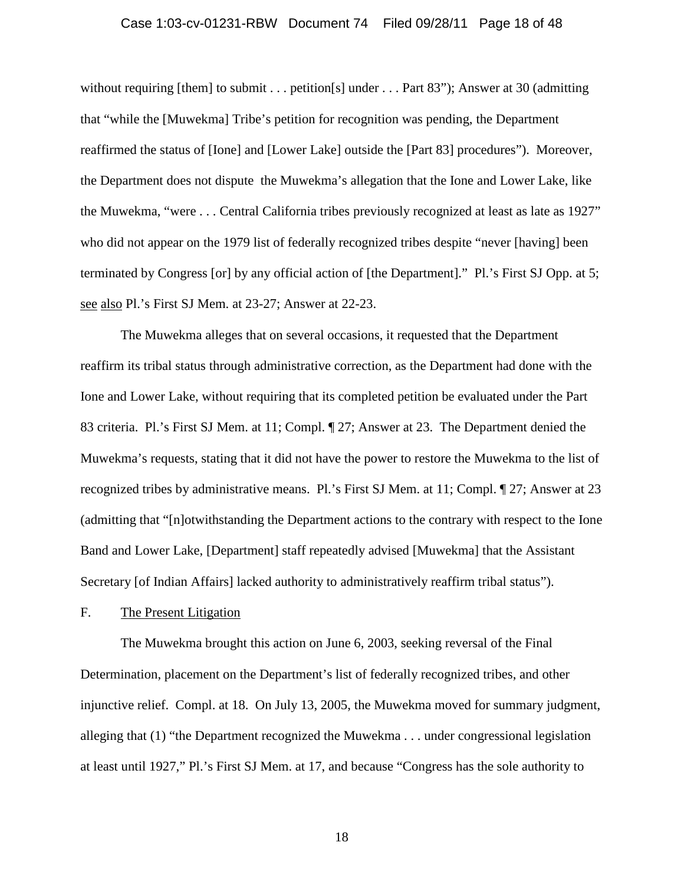### Case 1:03-cv-01231-RBW Document 74 Filed 09/28/11 Page 18 of 48

without requiring [them] to submit . . . petition[s] under . . . Part 83"); Answer at 30 (admitting that "while the [Muwekma] Tribe's petition for recognition was pending, the Department reaffirmed the status of [Ione] and [Lower Lake] outside the [Part 83] procedures"). Moreover, the Department does not dispute the Muwekma's allegation that the Ione and Lower Lake, like the Muwekma, "were . . . Central California tribes previously recognized at least as late as 1927" who did not appear on the 1979 list of federally recognized tribes despite "never [having] been terminated by Congress [or] by any official action of [the Department]." Pl.'s First SJ Opp. at 5; see also Pl.'s First SJ Mem. at 23-27; Answer at 22-23.

The Muwekma alleges that on several occasions, it requested that the Department reaffirm its tribal status through administrative correction, as the Department had done with the Ione and Lower Lake, without requiring that its completed petition be evaluated under the Part 83 criteria. Pl.'s First SJ Mem. at 11; Compl. ¶ 27; Answer at 23. The Department denied the Muwekma's requests, stating that it did not have the power to restore the Muwekma to the list of recognized tribes by administrative means. Pl.'s First SJ Mem. at 11; Compl. ¶ 27; Answer at 23 (admitting that "[n]otwithstanding the Department actions to the contrary with respect to the Ione Band and Lower Lake, [Department] staff repeatedly advised [Muwekma] that the Assistant Secretary [of Indian Affairs] lacked authority to administratively reaffirm tribal status").

# F. The Present Litigation

The Muwekma brought this action on June 6, 2003, seeking reversal of the Final Determination, placement on the Department's list of federally recognized tribes, and other injunctive relief. Compl. at 18. On July 13, 2005, the Muwekma moved for summary judgment, alleging that (1) "the Department recognized the Muwekma . . . under congressional legislation at least until 1927," Pl.'s First SJ Mem. at 17, and because "Congress has the sole authority to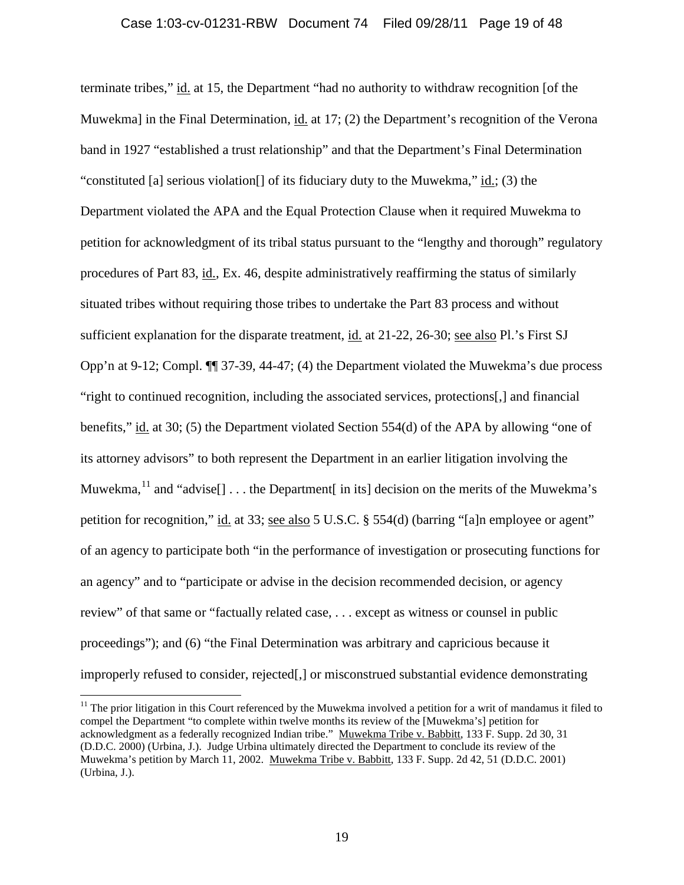terminate tribes," id. at 15, the Department "had no authority to withdraw recognition [of the Muwekma] in the Final Determination, id. at 17; (2) the Department's recognition of the Verona band in 1927 "established a trust relationship" and that the Department's Final Determination "constituted [a] serious violation<sup>[]</sup> of its fiduciary duty to the Muwekma," id.; (3) the Department violated the APA and the Equal Protection Clause when it required Muwekma to petition for acknowledgment of its tribal status pursuant to the "lengthy and thorough" regulatory procedures of Part 83, id., Ex. 46, despite administratively reaffirming the status of similarly situated tribes without requiring those tribes to undertake the Part 83 process and without sufficient explanation for the disparate treatment, id. at 21-22, 26-30; see also Pl.'s First SJ Opp'n at 9-12; Compl. ¶¶ 37-39, 44-47; (4) the Department violated the Muwekma's due process "right to continued recognition, including the associated services, protections[,] and financial benefits," id. at 30; (5) the Department violated Section 554(d) of the APA by allowing "one of its attorney advisors" to both represent the Department in an earlier litigation involving the Muwekma,  $^{11}$  $^{11}$  $^{11}$  and "advise[] ... the Department in its] decision on the merits of the Muwekma's petition for recognition," id. at 33; see also 5 U.S.C. § 554(d) (barring "[a]n employee or agent" of an agency to participate both "in the performance of investigation or prosecuting functions for an agency" and to "participate or advise in the decision recommended decision, or agency review" of that same or "factually related case, . . . except as witness or counsel in public proceedings"); and (6) "the Final Determination was arbitrary and capricious because it improperly refused to consider, rejected[,] or misconstrued substantial evidence demonstrating

<span id="page-18-0"></span> $11$  The prior litigation in this Court referenced by the Muwekma involved a petition for a writ of mandamus it filed to compel the Department "to complete within twelve months its review of the [Muwekma's] petition for acknowledgment as a federally recognized Indian tribe." Muwekma Tribe v. Babbitt, 133 F. Supp. 2d 30, 31 (D.D.C. 2000) (Urbina, J.). Judge Urbina ultimately directed the Department to conclude its review of the Muwekma's petition by March 11, 2002. Muwekma Tribe v. Babbitt, 133 F. Supp. 2d 42, 51 (D.D.C. 2001) (Urbina, J.).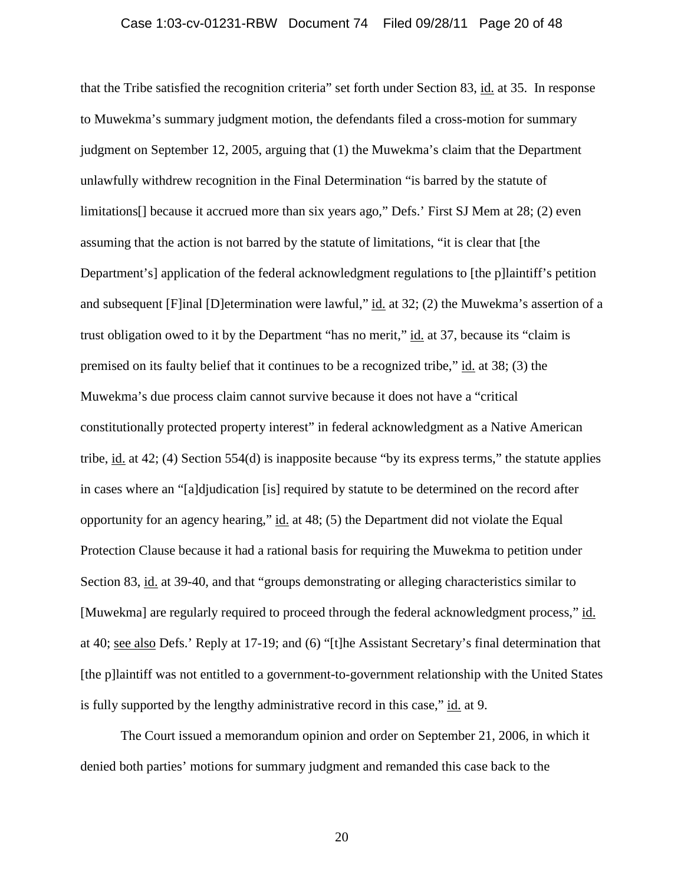#### Case 1:03-cv-01231-RBW Document 74 Filed 09/28/11 Page 20 of 48

that the Tribe satisfied the recognition criteria" set forth under Section 83, id. at 35. In response to Muwekma's summary judgment motion, the defendants filed a cross-motion for summary judgment on September 12, 2005, arguing that (1) the Muwekma's claim that the Department unlawfully withdrew recognition in the Final Determination "is barred by the statute of limitations[] because it accrued more than six years ago," Defs.' First SJ Mem at 28; (2) even assuming that the action is not barred by the statute of limitations, "it is clear that [the Department's] application of the federal acknowledgment regulations to [the p]laintiff's petition and subsequent [F]inal [D]etermination were lawful," id. at 32; (2) the Muwekma's assertion of a trust obligation owed to it by the Department "has no merit," id. at 37, because its "claim is premised on its faulty belief that it continues to be a recognized tribe," id. at 38; (3) the Muwekma's due process claim cannot survive because it does not have a "critical constitutionally protected property interest" in federal acknowledgment as a Native American tribe, id. at 42; (4) Section 554(d) is inapposite because "by its express terms," the statute applies in cases where an "[a]djudication [is] required by statute to be determined on the record after opportunity for an agency hearing," id. at 48; (5) the Department did not violate the Equal Protection Clause because it had a rational basis for requiring the Muwekma to petition under Section 83, id. at 39-40, and that "groups demonstrating or alleging characteristics similar to [Muwekma] are regularly required to proceed through the federal acknowledgment process," id. at 40; see also Defs.' Reply at 17-19; and (6) "[t]he Assistant Secretary's final determination that [the p]laintiff was not entitled to a government-to-government relationship with the United States is fully supported by the lengthy administrative record in this case," id. at 9.

The Court issued a memorandum opinion and order on September 21, 2006, in which it denied both parties' motions for summary judgment and remanded this case back to the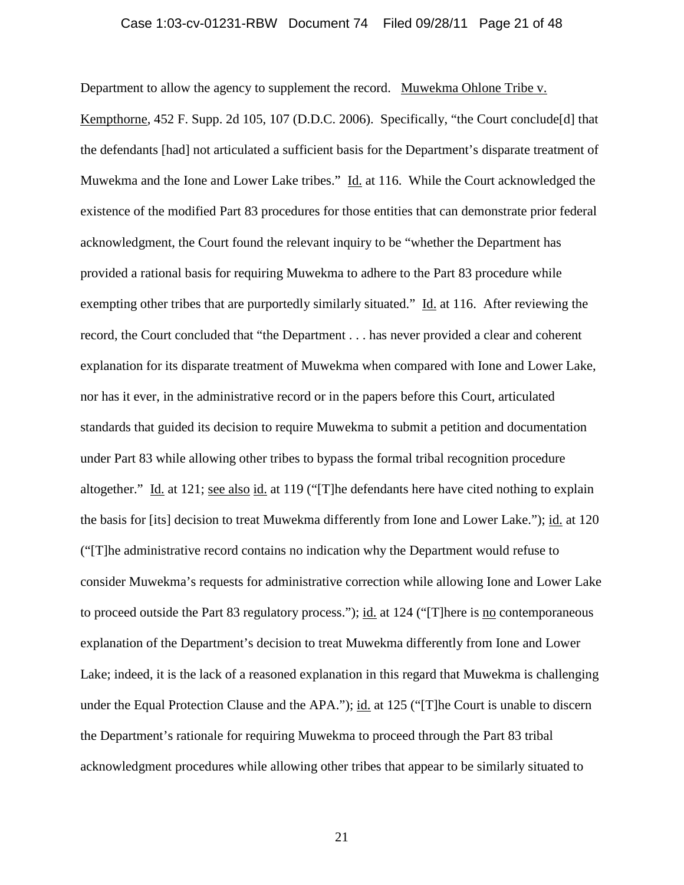### Case 1:03-cv-01231-RBW Document 74 Filed 09/28/11 Page 21 of 48

Department to allow the agency to supplement the record. Muwekma Ohlone Tribe v.

Kempthorne, 452 F. Supp. 2d 105, 107 (D.D.C. 2006). Specifically, "the Court conclude[d] that the defendants [had] not articulated a sufficient basis for the Department's disparate treatment of Muwekma and the Ione and Lower Lake tribes." Id. at 116. While the Court acknowledged the existence of the modified Part 83 procedures for those entities that can demonstrate prior federal acknowledgment, the Court found the relevant inquiry to be "whether the Department has provided a rational basis for requiring Muwekma to adhere to the Part 83 procedure while exempting other tribes that are purportedly similarly situated." Id. at 116. After reviewing the record, the Court concluded that "the Department . . . has never provided a clear and coherent explanation for its disparate treatment of Muwekma when compared with Ione and Lower Lake, nor has it ever, in the administrative record or in the papers before this Court, articulated standards that guided its decision to require Muwekma to submit a petition and documentation under Part 83 while allowing other tribes to bypass the formal tribal recognition procedure altogether." Id. at 121; see also id. at 119 ("[T]he defendants here have cited nothing to explain the basis for [its] decision to treat Muwekma differently from Ione and Lower Lake."); id. at 120 ("[T]he administrative record contains no indication why the Department would refuse to consider Muwekma's requests for administrative correction while allowing Ione and Lower Lake to proceed outside the Part 83 regulatory process."); id. at 124 ("There is <u>no</u> contemporaneous explanation of the Department's decision to treat Muwekma differently from Ione and Lower Lake; indeed, it is the lack of a reasoned explanation in this regard that Muwekma is challenging under the Equal Protection Clause and the APA."); id. at 125 ("[T]he Court is unable to discern the Department's rationale for requiring Muwekma to proceed through the Part 83 tribal acknowledgment procedures while allowing other tribes that appear to be similarly situated to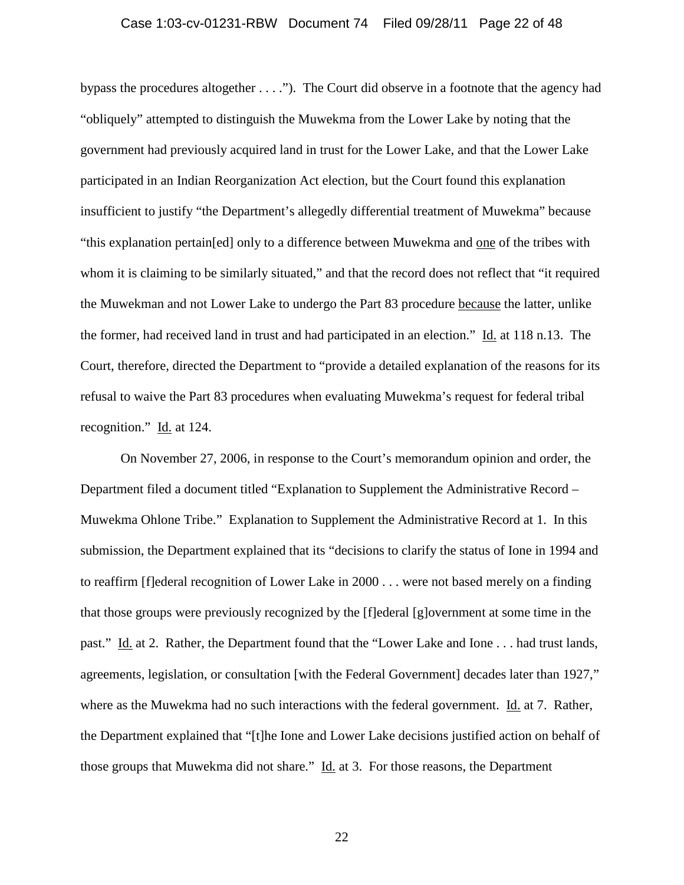### Case 1:03-cv-01231-RBW Document 74 Filed 09/28/11 Page 22 of 48

bypass the procedures altogether . . . ."). The Court did observe in a footnote that the agency had "obliquely" attempted to distinguish the Muwekma from the Lower Lake by noting that the government had previously acquired land in trust for the Lower Lake, and that the Lower Lake participated in an Indian Reorganization Act election, but the Court found this explanation insufficient to justify "the Department's allegedly differential treatment of Muwekma" because "this explanation pertain[ed] only to a difference between Muwekma and one of the tribes with whom it is claiming to be similarly situated," and that the record does not reflect that "it required the Muwekman and not Lower Lake to undergo the Part 83 procedure because the latter, unlike the former, had received land in trust and had participated in an election." Id. at 118 n.13. The Court, therefore, directed the Department to "provide a detailed explanation of the reasons for its refusal to waive the Part 83 procedures when evaluating Muwekma's request for federal tribal recognition." Id. at 124.

On November 27, 2006, in response to the Court's memorandum opinion and order, the Department filed a document titled "Explanation to Supplement the Administrative Record – Muwekma Ohlone Tribe." Explanation to Supplement the Administrative Record at 1. In this submission, the Department explained that its "decisions to clarify the status of Ione in 1994 and to reaffirm [f]ederal recognition of Lower Lake in 2000 . . . were not based merely on a finding that those groups were previously recognized by the [f]ederal [g]overnment at some time in the past." Id. at 2. Rather, the Department found that the "Lower Lake and Ione . . . had trust lands, agreements, legislation, or consultation [with the Federal Government] decades later than 1927," where as the Muwekma had no such interactions with the federal government. Id. at 7. Rather, the Department explained that "[t]he Ione and Lower Lake decisions justified action on behalf of those groups that Muwekma did not share." Id. at 3. For those reasons, the Department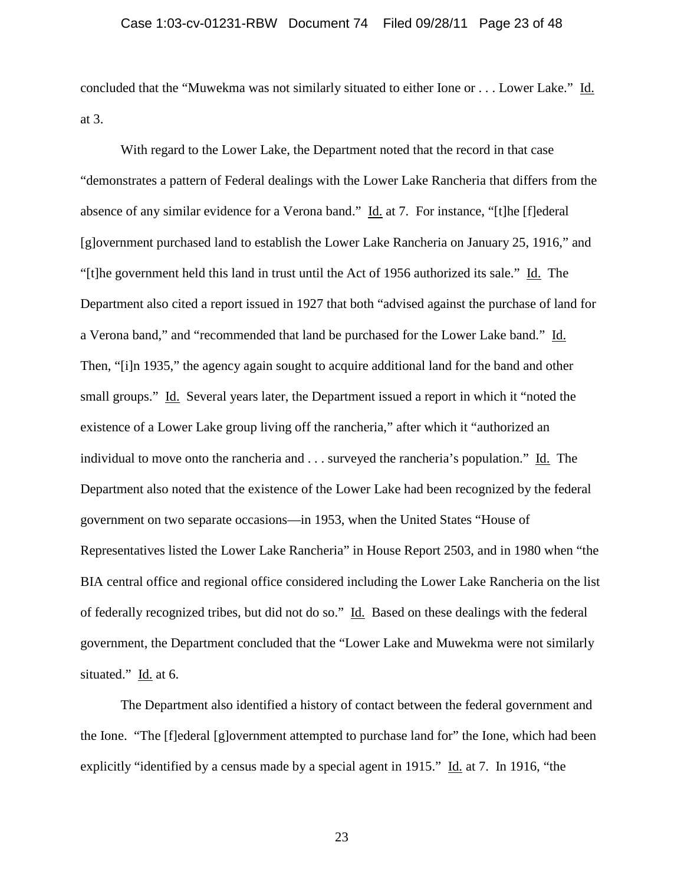concluded that the "Muwekma was not similarly situated to either Ione or . . . Lower Lake." Id. at 3.

With regard to the Lower Lake, the Department noted that the record in that case "demonstrates a pattern of Federal dealings with the Lower Lake Rancheria that differs from the absence of any similar evidence for a Verona band." Id. at 7. For instance, "[t]he [f]ederal [g]overnment purchased land to establish the Lower Lake Rancheria on January 25, 1916," and "[t]he government held this land in trust until the Act of 1956 authorized its sale." Id. The Department also cited a report issued in 1927 that both "advised against the purchase of land for a Verona band," and "recommended that land be purchased for the Lower Lake band." Id. Then, "[i]n 1935," the agency again sought to acquire additional land for the band and other small groups." Id. Several years later, the Department issued a report in which it "noted the existence of a Lower Lake group living off the rancheria," after which it "authorized an individual to move onto the rancheria and . . . surveyed the rancheria's population." Id. The Department also noted that the existence of the Lower Lake had been recognized by the federal government on two separate occasions—in 1953, when the United States "House of Representatives listed the Lower Lake Rancheria" in House Report 2503, and in 1980 when "the BIA central office and regional office considered including the Lower Lake Rancheria on the list of federally recognized tribes, but did not do so." Id. Based on these dealings with the federal government, the Department concluded that the "Lower Lake and Muwekma were not similarly situated." Id. at 6.

The Department also identified a history of contact between the federal government and the Ione. "The [f]ederal [g]overnment attempted to purchase land for" the Ione, which had been explicitly "identified by a census made by a special agent in 1915." Id. at 7. In 1916, "the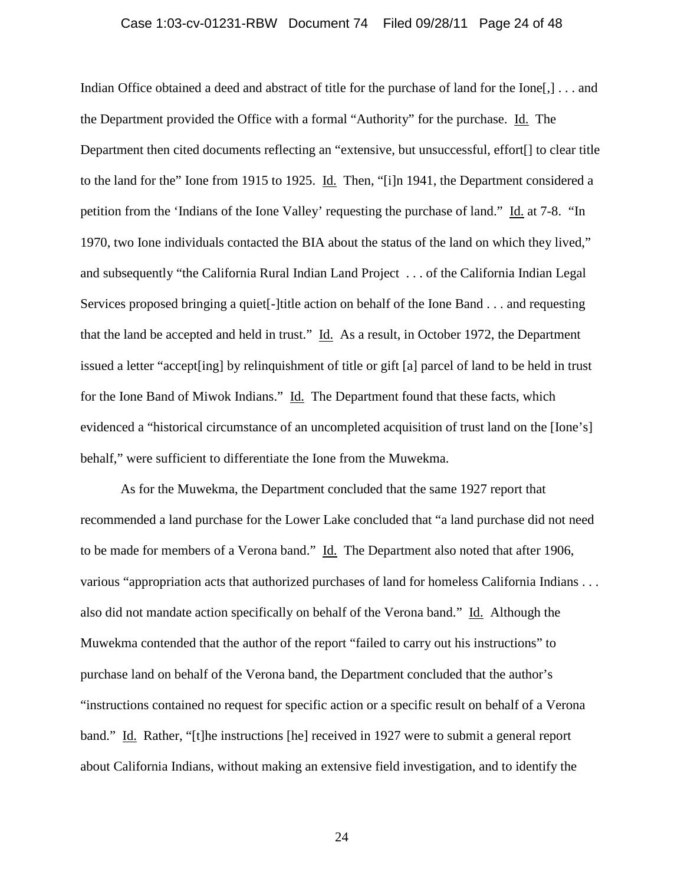### Case 1:03-cv-01231-RBW Document 74 Filed 09/28/11 Page 24 of 48

Indian Office obtained a deed and abstract of title for the purchase of land for the Ione[,] . . . and the Department provided the Office with a formal "Authority" for the purchase. Id. The Department then cited documents reflecting an "extensive, but unsuccessful, effort[] to clear title to the land for the" Ione from 1915 to 1925. Id. Then, "[i]n 1941, the Department considered a petition from the 'Indians of the Ione Valley' requesting the purchase of land." Id. at 7-8. "In 1970, two Ione individuals contacted the BIA about the status of the land on which they lived," and subsequently "the California Rural Indian Land Project . . . of the California Indian Legal Services proposed bringing a quiet-little action on behalf of the Ione Band . . . and requesting that the land be accepted and held in trust." Id. As a result, in October 1972, the Department issued a letter "accept[ing] by relinquishment of title or gift [a] parcel of land to be held in trust for the Ione Band of Miwok Indians." Id. The Department found that these facts, which evidenced a "historical circumstance of an uncompleted acquisition of trust land on the [Ione's] behalf," were sufficient to differentiate the Ione from the Muwekma.

As for the Muwekma, the Department concluded that the same 1927 report that recommended a land purchase for the Lower Lake concluded that "a land purchase did not need to be made for members of a Verona band." Id. The Department also noted that after 1906, various "appropriation acts that authorized purchases of land for homeless California Indians . . . also did not mandate action specifically on behalf of the Verona band." Id. Although the Muwekma contended that the author of the report "failed to carry out his instructions" to purchase land on behalf of the Verona band, the Department concluded that the author's "instructions contained no request for specific action or a specific result on behalf of a Verona band." Id. Rather, "[t]he instructions [he] received in 1927 were to submit a general report about California Indians, without making an extensive field investigation, and to identify the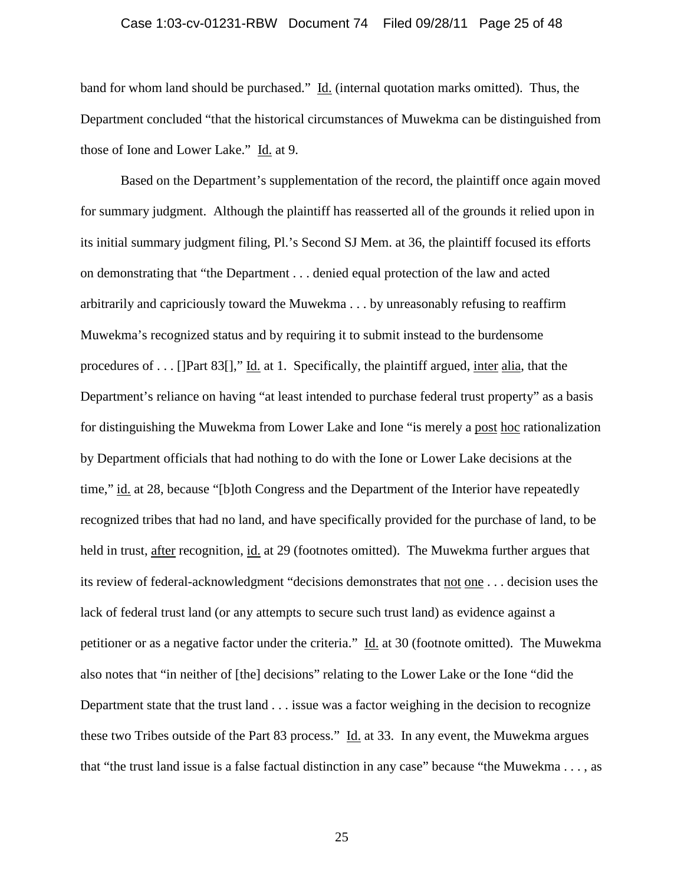### Case 1:03-cv-01231-RBW Document 74 Filed 09/28/11 Page 25 of 48

band for whom land should be purchased." Id. (internal quotation marks omitted). Thus, the Department concluded "that the historical circumstances of Muwekma can be distinguished from those of Ione and Lower Lake." Id. at 9.

Based on the Department's supplementation of the record, the plaintiff once again moved for summary judgment. Although the plaintiff has reasserted all of the grounds it relied upon in its initial summary judgment filing, Pl.'s Second SJ Mem. at 36, the plaintiff focused its efforts on demonstrating that "the Department . . . denied equal protection of the law and acted arbitrarily and capriciously toward the Muwekma . . . by unreasonably refusing to reaffirm Muwekma's recognized status and by requiring it to submit instead to the burdensome procedures of . . . []Part 83[]," Id. at 1. Specifically, the plaintiff argued, inter alia, that the Department's reliance on having "at least intended to purchase federal trust property" as a basis for distinguishing the Muwekma from Lower Lake and Ione "is merely a post hoc rationalization by Department officials that had nothing to do with the Ione or Lower Lake decisions at the time," id. at 28, because "[b]oth Congress and the Department of the Interior have repeatedly recognized tribes that had no land, and have specifically provided for the purchase of land, to be held in trust, after recognition, id. at 29 (footnotes omitted). The Muwekma further argues that its review of federal-acknowledgment "decisions demonstrates that not one . . . decision uses the lack of federal trust land (or any attempts to secure such trust land) as evidence against a petitioner or as a negative factor under the criteria." Id. at 30 (footnote omitted). The Muwekma also notes that "in neither of [the] decisions" relating to the Lower Lake or the Ione "did the Department state that the trust land . . . issue was a factor weighing in the decision to recognize these two Tribes outside of the Part 83 process." Id. at 33. In any event, the Muwekma argues that "the trust land issue is a false factual distinction in any case" because "the Muwekma . . . , as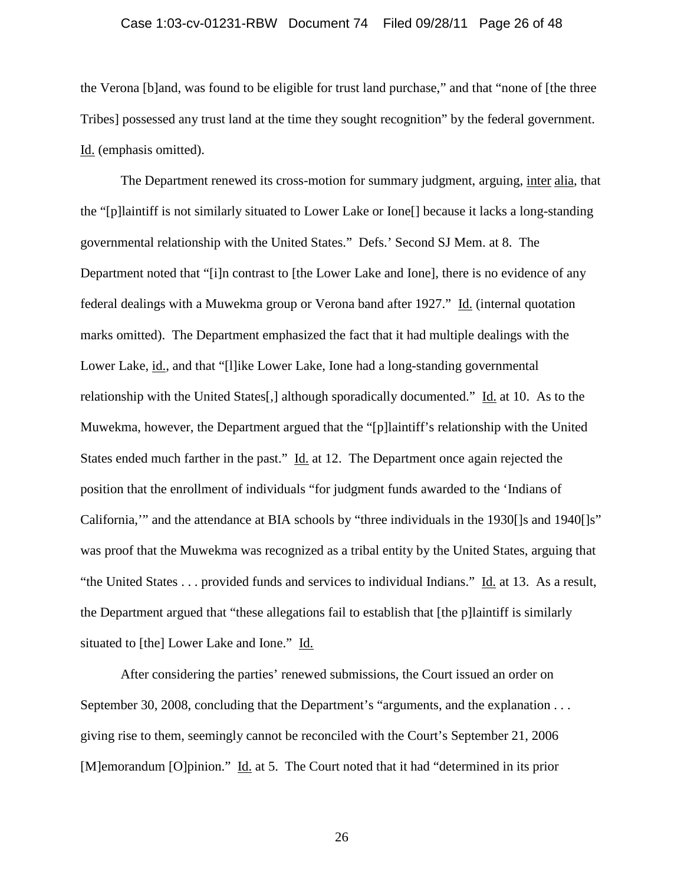### Case 1:03-cv-01231-RBW Document 74 Filed 09/28/11 Page 26 of 48

the Verona [b]and, was found to be eligible for trust land purchase," and that "none of [the three Tribes] possessed any trust land at the time they sought recognition" by the federal government. Id. (emphasis omitted).

The Department renewed its cross-motion for summary judgment, arguing, inter alia, that the "[p]laintiff is not similarly situated to Lower Lake or Ione[] because it lacks a long-standing governmental relationship with the United States." Defs.' Second SJ Mem. at 8. The Department noted that "[i]n contrast to [the Lower Lake and Ione], there is no evidence of any federal dealings with a Muwekma group or Verona band after 1927." Id. (internal quotation marks omitted). The Department emphasized the fact that it had multiple dealings with the Lower Lake, id., and that "[l]ike Lower Lake, Ione had a long-standing governmental relationship with the United States[,] although sporadically documented." Id. at 10. As to the Muwekma, however, the Department argued that the "[p]laintiff's relationship with the United States ended much farther in the past." Id. at 12. The Department once again rejected the position that the enrollment of individuals "for judgment funds awarded to the 'Indians of California,'" and the attendance at BIA schools by "three individuals in the 1930[]s and 1940[]s" was proof that the Muwekma was recognized as a tribal entity by the United States, arguing that "the United States . . . provided funds and services to individual Indians." Id. at 13. As a result, the Department argued that "these allegations fail to establish that [the p]laintiff is similarly situated to [the] Lower Lake and Ione." Id.

After considering the parties' renewed submissions, the Court issued an order on September 30, 2008, concluding that the Department's "arguments, and the explanation . . . giving rise to them, seemingly cannot be reconciled with the Court's September 21, 2006 [M]emorandum [O]pinion." Id. at 5. The Court noted that it had "determined in its prior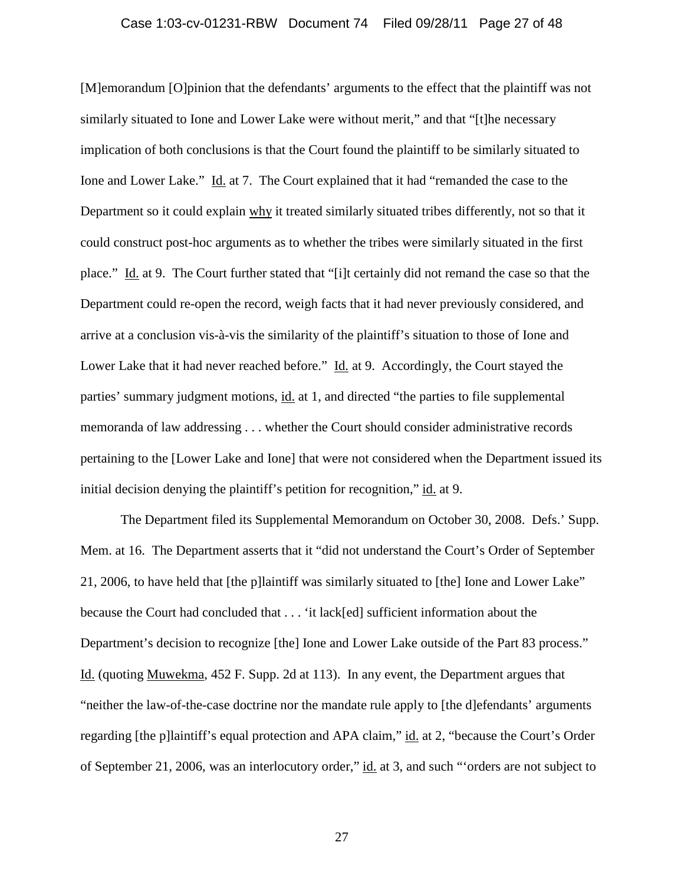### Case 1:03-cv-01231-RBW Document 74 Filed 09/28/11 Page 27 of 48

[M]emorandum [O]pinion that the defendants' arguments to the effect that the plaintiff was not similarly situated to Ione and Lower Lake were without merit," and that "[t]he necessary implication of both conclusions is that the Court found the plaintiff to be similarly situated to Ione and Lower Lake." Id. at 7. The Court explained that it had "remanded the case to the Department so it could explain why it treated similarly situated tribes differently, not so that it could construct post-hoc arguments as to whether the tribes were similarly situated in the first place." Id. at 9. The Court further stated that "[i]t certainly did not remand the case so that the Department could re-open the record, weigh facts that it had never previously considered, and arrive at a conclusion vis-à-vis the similarity of the plaintiff's situation to those of Ione and Lower Lake that it had never reached before." Id. at 9. Accordingly, the Court stayed the parties' summary judgment motions, id. at 1, and directed "the parties to file supplemental memoranda of law addressing . . . whether the Court should consider administrative records pertaining to the [Lower Lake and Ione] that were not considered when the Department issued its initial decision denying the plaintiff's petition for recognition," id. at 9.

The Department filed its Supplemental Memorandum on October 30, 2008. Defs.' Supp. Mem. at 16. The Department asserts that it "did not understand the Court's Order of September 21, 2006, to have held that [the p]laintiff was similarly situated to [the] Ione and Lower Lake" because the Court had concluded that . . . 'it lack[ed] sufficient information about the Department's decision to recognize [the] Ione and Lower Lake outside of the Part 83 process." Id. (quoting Muwekma, 452 F. Supp. 2d at 113). In any event, the Department argues that "neither the law-of-the-case doctrine nor the mandate rule apply to [the d]efendants' arguments regarding [the p]laintiff's equal protection and APA claim," id. at 2, "because the Court's Order of September 21, 2006, was an interlocutory order," id. at 3, and such "'orders are not subject to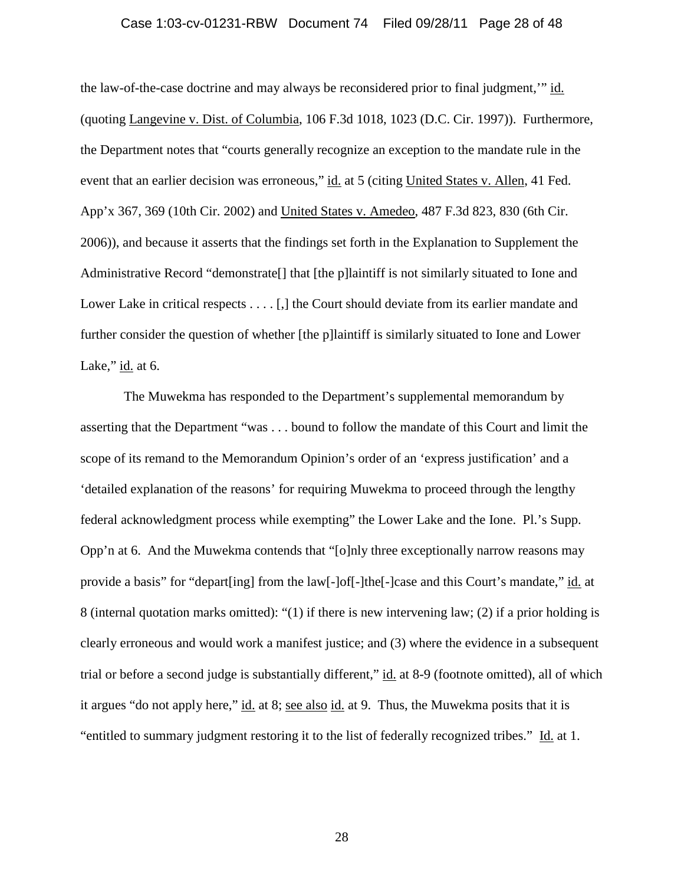### Case 1:03-cv-01231-RBW Document 74 Filed 09/28/11 Page 28 of 48

the law-of-the-case doctrine and may always be reconsidered prior to final judgment,'" id. (quoting Langevine v. Dist. of Columbia, 106 F.3d 1018, 1023 (D.C. Cir. 1997)). Furthermore, the Department notes that "courts generally recognize an exception to the mandate rule in the event that an earlier decision was erroneous," id. at 5 (citing United States v. Allen, 41 Fed. App'x 367, 369 (10th Cir. 2002) and United States v. Amedeo, 487 F.3d 823, 830 (6th Cir. 2006)), and because it asserts that the findings set forth in the Explanation to Supplement the Administrative Record "demonstrate[] that [the p]laintiff is not similarly situated to Ione and Lower Lake in critical respects . . . . [,] the Court should deviate from its earlier mandate and further consider the question of whether [the p]laintiff is similarly situated to Ione and Lower Lake,"  $id$  at 6.

The Muwekma has responded to the Department's supplemental memorandum by asserting that the Department "was . . . bound to follow the mandate of this Court and limit the scope of its remand to the Memorandum Opinion's order of an 'express justification' and a 'detailed explanation of the reasons' for requiring Muwekma to proceed through the lengthy federal acknowledgment process while exempting" the Lower Lake and the Ione. Pl.'s Supp. Opp'n at 6. And the Muwekma contends that "[o]nly three exceptionally narrow reasons may provide a basis" for "depart[ing] from the law[-]of[-]the[-]case and this Court's mandate," id. at 8 (internal quotation marks omitted): "(1) if there is new intervening law; (2) if a prior holding is clearly erroneous and would work a manifest justice; and (3) where the evidence in a subsequent trial or before a second judge is substantially different," id. at 8-9 (footnote omitted), all of which it argues "do not apply here," id. at 8; see also id. at 9. Thus, the Muwekma posits that it is "entitled to summary judgment restoring it to the list of federally recognized tribes." Id. at 1.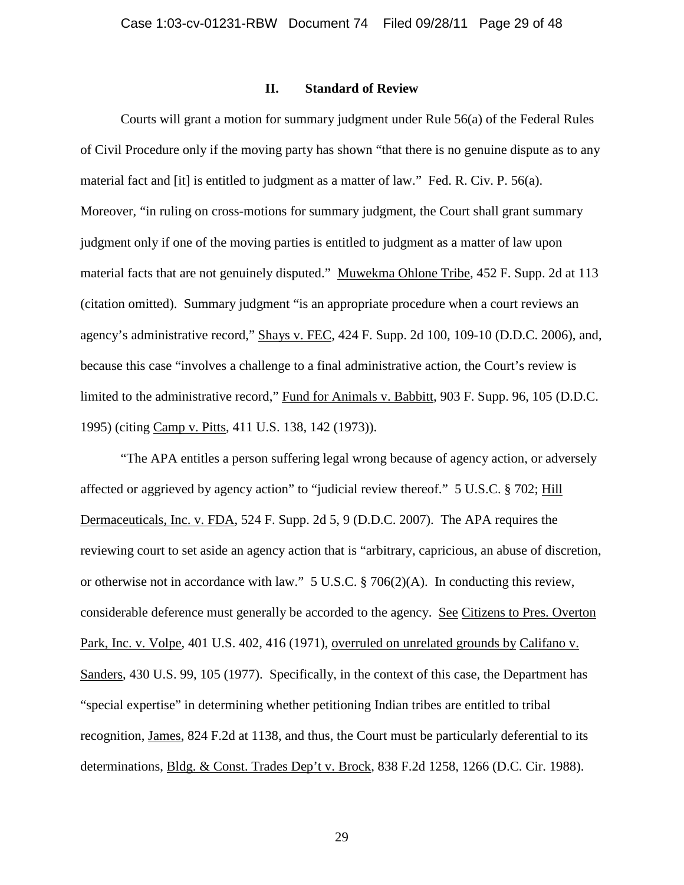## **II. Standard of Review**

Courts will grant a motion for summary judgment under Rule 56(a) of the Federal Rules of Civil Procedure only if the moving party has shown "that there is no genuine dispute as to any material fact and [it] is entitled to judgment as a matter of law." Fed. R. Civ. P. 56(a). Moreover, "in ruling on cross-motions for summary judgment, the Court shall grant summary judgment only if one of the moving parties is entitled to judgment as a matter of law upon material facts that are not genuinely disputed." Muwekma Ohlone Tribe, 452 F. Supp. 2d at 113 (citation omitted). Summary judgment "is an appropriate procedure when a court reviews an agency's administrative record," Shays v. FEC, 424 F. Supp. 2d 100, 109-10 (D.D.C. 2006), and, because this case "involves a challenge to a final administrative action, the Court's review is limited to the administrative record," Fund for Animals v. Babbitt, 903 F. Supp. 96, 105 (D.D.C. 1995) (citing Camp v. Pitts, 411 U.S. 138, 142 (1973)).

"The APA entitles a person suffering legal wrong because of agency action, or adversely affected or aggrieved by agency action" to "judicial review thereof." 5 U.S.C. § 702; Hill Dermaceuticals, Inc. v. FDA, 524 F. Supp. 2d 5, 9 (D.D.C. 2007). The APA requires the reviewing court to set aside an agency action that is "arbitrary, capricious, an abuse of discretion, or otherwise not in accordance with law." 5 U.S.C. § 706(2)(A). In conducting this review, considerable deference must generally be accorded to the agency. See Citizens to Pres. Overton Park, Inc. v. Volpe, 401 U.S. 402, 416 (1971), overruled on unrelated grounds by Califano v. Sanders, 430 U.S. 99, 105 (1977). Specifically, in the context of this case, the Department has "special expertise" in determining whether petitioning Indian tribes are entitled to tribal recognition, James, 824 F.2d at 1138, and thus, the Court must be particularly deferential to its determinations, Bldg. & Const. Trades Dep't v. Brock, 838 F.2d 1258, 1266 (D.C. Cir. 1988).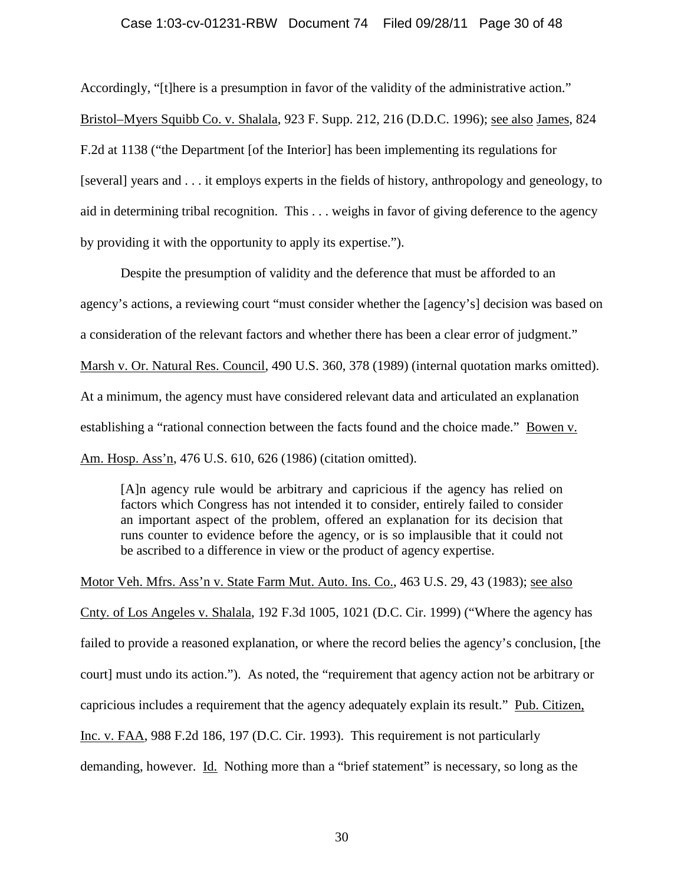## Case 1:03-cv-01231-RBW Document 74 Filed 09/28/11 Page 30 of 48

Accordingly, "[t]here is a presumption in favor of the validity of the administrative action." Bristol–Myers Squibb Co. v. Shalala, 923 F. Supp. 212, 216 (D.D.C. 1996); see also James, 824 F.2d at 1138 ("the Department [of the Interior] has been implementing its regulations for [several] years and . . . it employs experts in the fields of history, anthropology and geneology, to aid in determining tribal recognition. This . . . weighs in favor of giving deference to the agency by providing it with the opportunity to apply its expertise.").

Despite the presumption of validity and the deference that must be afforded to an agency's actions, a reviewing court "must consider whether the [agency's] decision was based on a consideration of the relevant factors and whether there has been a clear error of judgment." Marsh v. Or. Natural Res. Council, 490 U.S. 360, 378 (1989) (internal quotation marks omitted). At a minimum, the agency must have considered relevant data and articulated an explanation establishing a "rational connection between the facts found and the choice made." Bowen v. Am. Hosp. Ass'n, 476 U.S. 610, 626 (1986) (citation omitted).

[A]n agency rule would be arbitrary and capricious if the agency has relied on factors which Congress has not intended it to consider, entirely failed to consider an important aspect of the problem, offered an explanation for its decision that runs counter to evidence before the agency, or is so implausible that it could not be ascribed to a difference in view or the product of agency expertise.

Motor Veh. Mfrs. Ass'n v. State Farm Mut. Auto. Ins. Co., 463 U.S. 29, 43 (1983); see also Cnty. of Los Angeles v. Shalala, 192 F.3d 1005, 1021 (D.C. Cir. 1999) ("Where the agency has failed to provide a reasoned explanation, or where the record belies the agency's conclusion, [the court] must undo its action."). As noted, the "requirement that agency action not be arbitrary or capricious includes a requirement that the agency adequately explain its result." Pub. Citizen, Inc. v. FAA, 988 F.2d 186, 197 (D.C. Cir. 1993). This requirement is not particularly demanding, however. Id. Nothing more than a "brief statement" is necessary, so long as the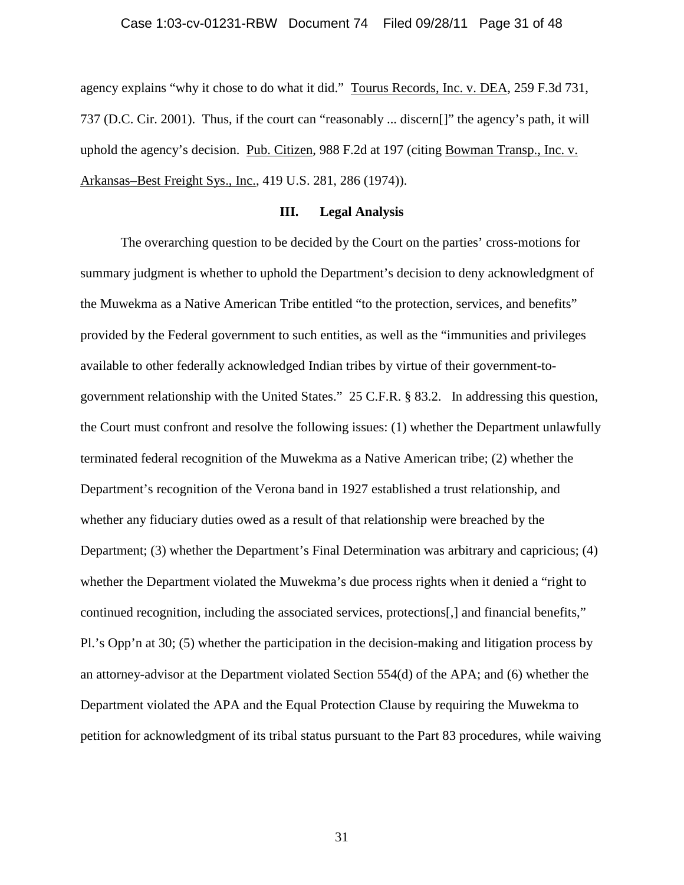### Case 1:03-cv-01231-RBW Document 74 Filed 09/28/11 Page 31 of 48

agency explains "why it chose to do what it did." Tourus Records, Inc. v. DEA, 259 F.3d 731, 737 (D.C. Cir. 2001). Thus, if the court can "reasonably ... discern[]" the agency's path, it will uphold the agency's decision. Pub. Citizen, 988 F.2d at 197 (citing Bowman Transp., Inc. v. Arkansas–Best Freight Sys., Inc., 419 U.S. 281, 286 (1974)).

# **III. Legal Analysis**

The overarching question to be decided by the Court on the parties' cross-motions for summary judgment is whether to uphold the Department's decision to deny acknowledgment of the Muwekma as a Native American Tribe entitled "to the protection, services, and benefits" provided by the Federal government to such entities, as well as the "immunities and privileges available to other federally acknowledged Indian tribes by virtue of their government-togovernment relationship with the United States." 25 C.F.R. § 83.2. In addressing this question, the Court must confront and resolve the following issues: (1) whether the Department unlawfully terminated federal recognition of the Muwekma as a Native American tribe; (2) whether the Department's recognition of the Verona band in 1927 established a trust relationship, and whether any fiduciary duties owed as a result of that relationship were breached by the Department; (3) whether the Department's Final Determination was arbitrary and capricious; (4) whether the Department violated the Muwekma's due process rights when it denied a "right to continued recognition, including the associated services, protections[,] and financial benefits," Pl.'s Opp'n at 30; (5) whether the participation in the decision-making and litigation process by an attorney-advisor at the Department violated Section 554(d) of the APA; and (6) whether the Department violated the APA and the Equal Protection Clause by requiring the Muwekma to petition for acknowledgment of its tribal status pursuant to the Part 83 procedures, while waiving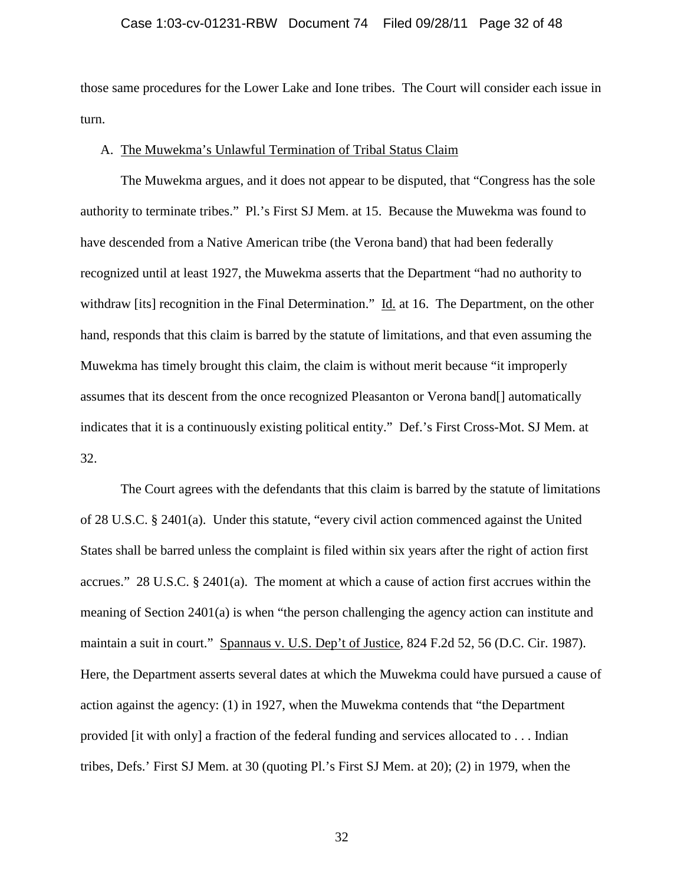### Case 1:03-cv-01231-RBW Document 74 Filed 09/28/11 Page 32 of 48

those same procedures for the Lower Lake and Ione tribes. The Court will consider each issue in turn.

#### A. The Muwekma's Unlawful Termination of Tribal Status Claim

The Muwekma argues, and it does not appear to be disputed, that "Congress has the sole authority to terminate tribes." Pl.'s First SJ Mem. at 15. Because the Muwekma was found to have descended from a Native American tribe (the Verona band) that had been federally recognized until at least 1927, the Muwekma asserts that the Department "had no authority to withdraw [its] recognition in the Final Determination." Id. at 16. The Department, on the other hand, responds that this claim is barred by the statute of limitations, and that even assuming the Muwekma has timely brought this claim, the claim is without merit because "it improperly assumes that its descent from the once recognized Pleasanton or Verona band[] automatically indicates that it is a continuously existing political entity." Def.'s First Cross-Mot. SJ Mem. at 32.

The Court agrees with the defendants that this claim is barred by the statute of limitations of 28 U.S.C. § 2401(a). Under this statute, "every civil action commenced against the United States shall be barred unless the complaint is filed within six years after the right of action first accrues." 28 U.S.C. § 2401(a). The moment at which a cause of action first accrues within the meaning of Section 2401(a) is when "the person challenging the agency action can institute and maintain a suit in court." Spannaus v. U.S. Dep't of Justice, 824 F.2d 52, 56 (D.C. Cir. 1987). Here, the Department asserts several dates at which the Muwekma could have pursued a cause of action against the agency: (1) in 1927, when the Muwekma contends that "the Department provided [it with only] a fraction of the federal funding and services allocated to . . . Indian tribes, Defs.' First SJ Mem. at 30 (quoting Pl.'s First SJ Mem. at 20); (2) in 1979, when the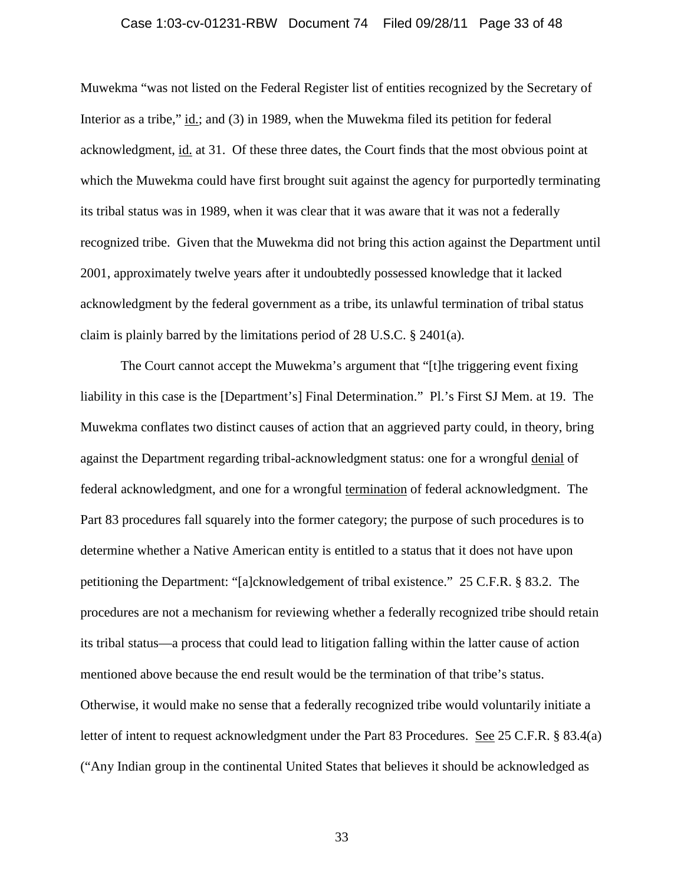### Case 1:03-cv-01231-RBW Document 74 Filed 09/28/11 Page 33 of 48

Muwekma "was not listed on the Federal Register list of entities recognized by the Secretary of Interior as a tribe," id.; and (3) in 1989, when the Muwekma filed its petition for federal acknowledgment, id. at 31. Of these three dates, the Court finds that the most obvious point at which the Muwekma could have first brought suit against the agency for purportedly terminating its tribal status was in 1989, when it was clear that it was aware that it was not a federally recognized tribe. Given that the Muwekma did not bring this action against the Department until 2001, approximately twelve years after it undoubtedly possessed knowledge that it lacked acknowledgment by the federal government as a tribe, its unlawful termination of tribal status claim is plainly barred by the limitations period of 28 U.S.C. § 2401(a).

The Court cannot accept the Muwekma's argument that "[t]he triggering event fixing liability in this case is the [Department's] Final Determination." Pl.'s First SJ Mem. at 19. The Muwekma conflates two distinct causes of action that an aggrieved party could, in theory, bring against the Department regarding tribal-acknowledgment status: one for a wrongful denial of federal acknowledgment, and one for a wrongful termination of federal acknowledgment. The Part 83 procedures fall squarely into the former category; the purpose of such procedures is to determine whether a Native American entity is entitled to a status that it does not have upon petitioning the Department: "[a]cknowledgement of tribal existence." 25 C.F.R. § 83.2. The procedures are not a mechanism for reviewing whether a federally recognized tribe should retain its tribal status—a process that could lead to litigation falling within the latter cause of action mentioned above because the end result would be the termination of that tribe's status. Otherwise, it would make no sense that a federally recognized tribe would voluntarily initiate a letter of intent to request acknowledgment under the Part 83 Procedures. See 25 C.F.R. § 83.4(a) ("Any Indian group in the continental United States that believes it should be acknowledged as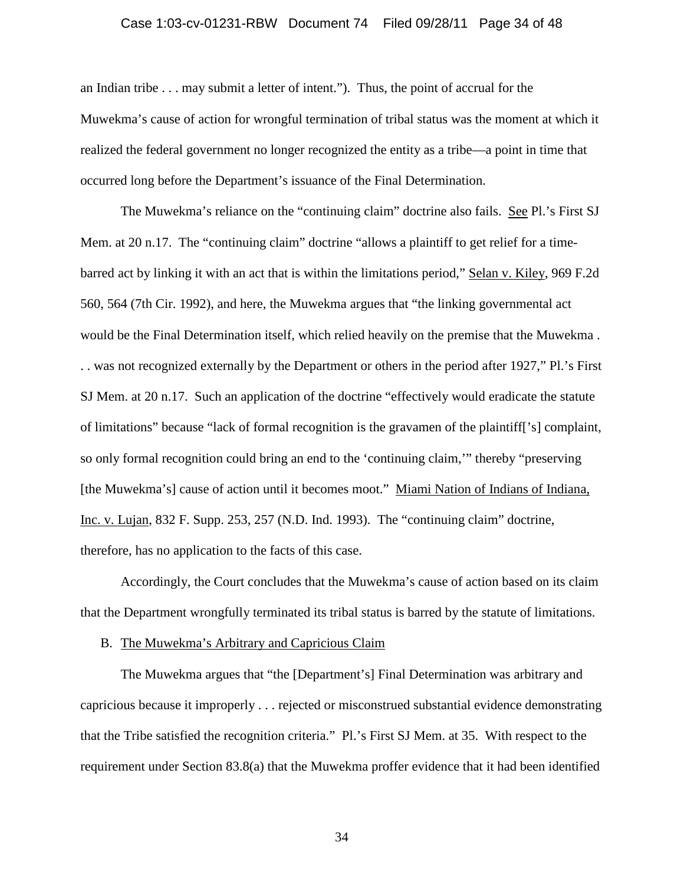### Case 1:03-cv-01231-RBW Document 74 Filed 09/28/11 Page 34 of 48

an Indian tribe . . . may submit a letter of intent."). Thus, the point of accrual for the Muwekma's cause of action for wrongful termination of tribal status was the moment at which it realized the federal government no longer recognized the entity as a tribe—a point in time that occurred long before the Department's issuance of the Final Determination.

The Muwekma's reliance on the "continuing claim" doctrine also fails. See Pl.'s First SJ Mem. at 20 n.17. The "continuing claim" doctrine "allows a plaintiff to get relief for a timebarred act by linking it with an act that is within the limitations period," Selan v. Kiley, 969 F.2d 560, 564 (7th Cir. 1992), and here, the Muwekma argues that "the linking governmental act would be the Final Determination itself, which relied heavily on the premise that the Muwekma . . . was not recognized externally by the Department or others in the period after 1927," Pl.'s First SJ Mem. at 20 n.17. Such an application of the doctrine "effectively would eradicate the statute of limitations" because "lack of formal recognition is the gravamen of the plaintiff['s] complaint, so only formal recognition could bring an end to the 'continuing claim,'" thereby "preserving [the Muwekma's] cause of action until it becomes moot." Miami Nation of Indians of Indiana, Inc. v. Lujan, 832 F. Supp. 253, 257 (N.D. Ind. 1993). The "continuing claim" doctrine, therefore, has no application to the facts of this case.

Accordingly, the Court concludes that the Muwekma's cause of action based on its claim that the Department wrongfully terminated its tribal status is barred by the statute of limitations.

#### B. The Muwekma's Arbitrary and Capricious Claim

The Muwekma argues that "the [Department's] Final Determination was arbitrary and capricious because it improperly . . . rejected or misconstrued substantial evidence demonstrating that the Tribe satisfied the recognition criteria." Pl.'s First SJ Mem. at 35. With respect to the requirement under Section 83.8(a) that the Muwekma proffer evidence that it had been identified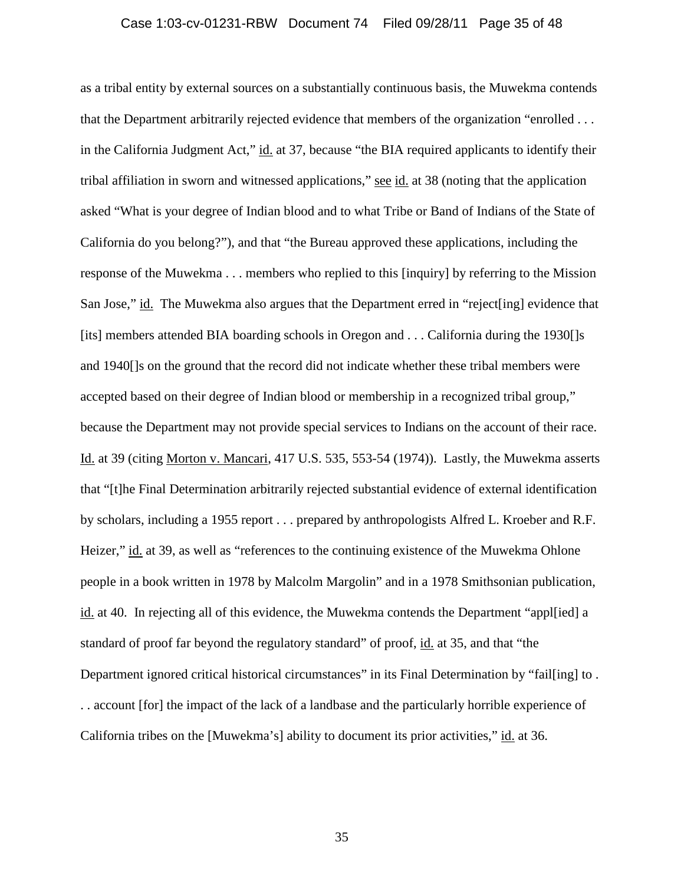### Case 1:03-cv-01231-RBW Document 74 Filed 09/28/11 Page 35 of 48

as a tribal entity by external sources on a substantially continuous basis, the Muwekma contends that the Department arbitrarily rejected evidence that members of the organization "enrolled . . . in the California Judgment Act," id. at 37, because "the BIA required applicants to identify their tribal affiliation in sworn and witnessed applications," see id. at 38 (noting that the application asked "What is your degree of Indian blood and to what Tribe or Band of Indians of the State of California do you belong?"), and that "the Bureau approved these applications, including the response of the Muwekma . . . members who replied to this [inquiry] by referring to the Mission San Jose," id. The Muwekma also argues that the Department erred in "reject[ing] evidence that [its] members attended BIA boarding schools in Oregon and . . . California during the 1930[]s and 1940[]s on the ground that the record did not indicate whether these tribal members were accepted based on their degree of Indian blood or membership in a recognized tribal group," because the Department may not provide special services to Indians on the account of their race. Id. at 39 (citing Morton v. Mancari, 417 U.S. 535, 553-54 (1974)). Lastly, the Muwekma asserts that "[t]he Final Determination arbitrarily rejected substantial evidence of external identification by scholars, including a 1955 report . . . prepared by anthropologists Alfred L. Kroeber and R.F. Heizer," id. at 39, as well as "references to the continuing existence of the Muwekma Ohlone people in a book written in 1978 by Malcolm Margolin" and in a 1978 Smithsonian publication, id. at 40. In rejecting all of this evidence, the Muwekma contends the Department "appl[ied] a standard of proof far beyond the regulatory standard" of proof, id. at 35, and that "the Department ignored critical historical circumstances" in its Final Determination by "fail[ing] to. . . account [for] the impact of the lack of a landbase and the particularly horrible experience of California tribes on the [Muwekma's] ability to document its prior activities," id. at 36.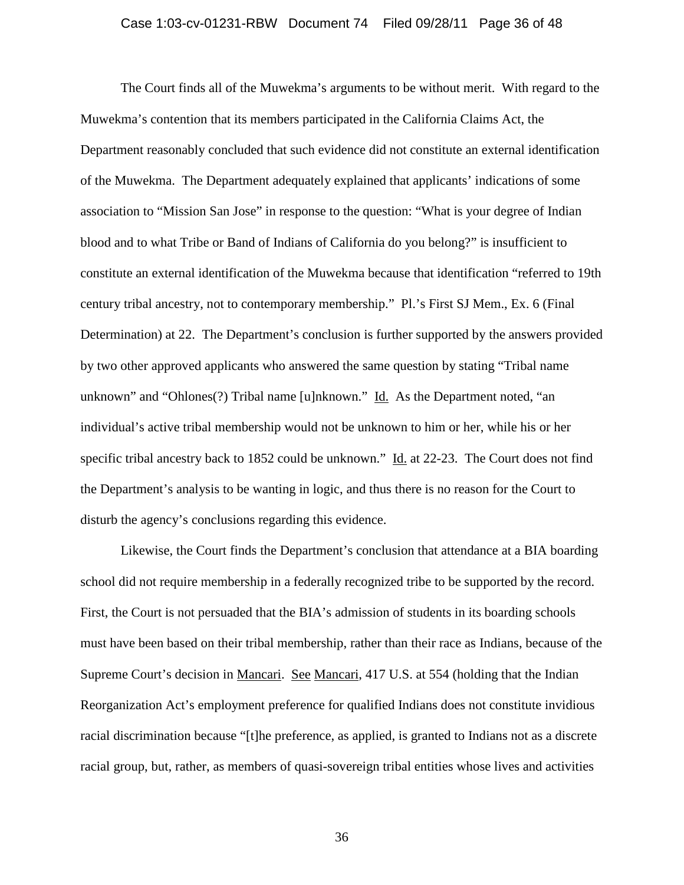### Case 1:03-cv-01231-RBW Document 74 Filed 09/28/11 Page 36 of 48

The Court finds all of the Muwekma's arguments to be without merit. With regard to the Muwekma's contention that its members participated in the California Claims Act, the Department reasonably concluded that such evidence did not constitute an external identification of the Muwekma. The Department adequately explained that applicants' indications of some association to "Mission San Jose" in response to the question: "What is your degree of Indian blood and to what Tribe or Band of Indians of California do you belong?" is insufficient to constitute an external identification of the Muwekma because that identification "referred to 19th century tribal ancestry, not to contemporary membership." Pl.'s First SJ Mem., Ex. 6 (Final Determination) at 22. The Department's conclusion is further supported by the answers provided by two other approved applicants who answered the same question by stating "Tribal name unknown" and "Ohlones(?) Tribal name [u]nknown." Id. As the Department noted, "an individual's active tribal membership would not be unknown to him or her, while his or her specific tribal ancestry back to 1852 could be unknown." Id. at 22-23. The Court does not find the Department's analysis to be wanting in logic, and thus there is no reason for the Court to disturb the agency's conclusions regarding this evidence.

Likewise, the Court finds the Department's conclusion that attendance at a BIA boarding school did not require membership in a federally recognized tribe to be supported by the record. First, the Court is not persuaded that the BIA's admission of students in its boarding schools must have been based on their tribal membership, rather than their race as Indians, because of the Supreme Court's decision in Mancari. See Mancari, 417 U.S. at 554 (holding that the Indian Reorganization Act's employment preference for qualified Indians does not constitute invidious racial discrimination because "[t]he preference, as applied, is granted to Indians not as a discrete racial group, but, rather, as members of quasi-sovereign tribal entities whose lives and activities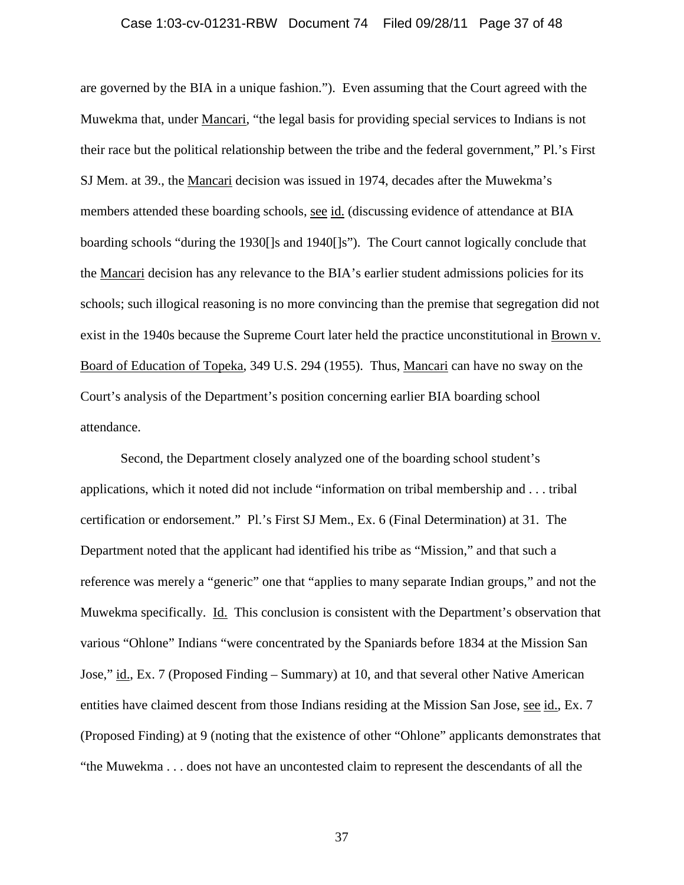### Case 1:03-cv-01231-RBW Document 74 Filed 09/28/11 Page 37 of 48

are governed by the BIA in a unique fashion."). Even assuming that the Court agreed with the Muwekma that, under Mancari, "the legal basis for providing special services to Indians is not their race but the political relationship between the tribe and the federal government," Pl.'s First SJ Mem. at 39., the Mancari decision was issued in 1974, decades after the Muwekma's members attended these boarding schools, see id. (discussing evidence of attendance at BIA boarding schools "during the 1930[]s and 1940[]s"). The Court cannot logically conclude that the Mancari decision has any relevance to the BIA's earlier student admissions policies for its schools; such illogical reasoning is no more convincing than the premise that segregation did not exist in the 1940s because the Supreme Court later held the practice unconstitutional in Brown v. Board of Education of Topeka, 349 U.S. 294 (1955). Thus, Mancari can have no sway on the Court's analysis of the Department's position concerning earlier BIA boarding school attendance.

Second, the Department closely analyzed one of the boarding school student's applications, which it noted did not include "information on tribal membership and . . . tribal certification or endorsement." Pl.'s First SJ Mem., Ex. 6 (Final Determination) at 31. The Department noted that the applicant had identified his tribe as "Mission," and that such a reference was merely a "generic" one that "applies to many separate Indian groups," and not the Muwekma specifically. Id. This conclusion is consistent with the Department's observation that various "Ohlone" Indians "were concentrated by the Spaniards before 1834 at the Mission San Jose," id., Ex. 7 (Proposed Finding – Summary) at 10, and that several other Native American entities have claimed descent from those Indians residing at the Mission San Jose, see id., Ex. 7 (Proposed Finding) at 9 (noting that the existence of other "Ohlone" applicants demonstrates that "the Muwekma . . . does not have an uncontested claim to represent the descendants of all the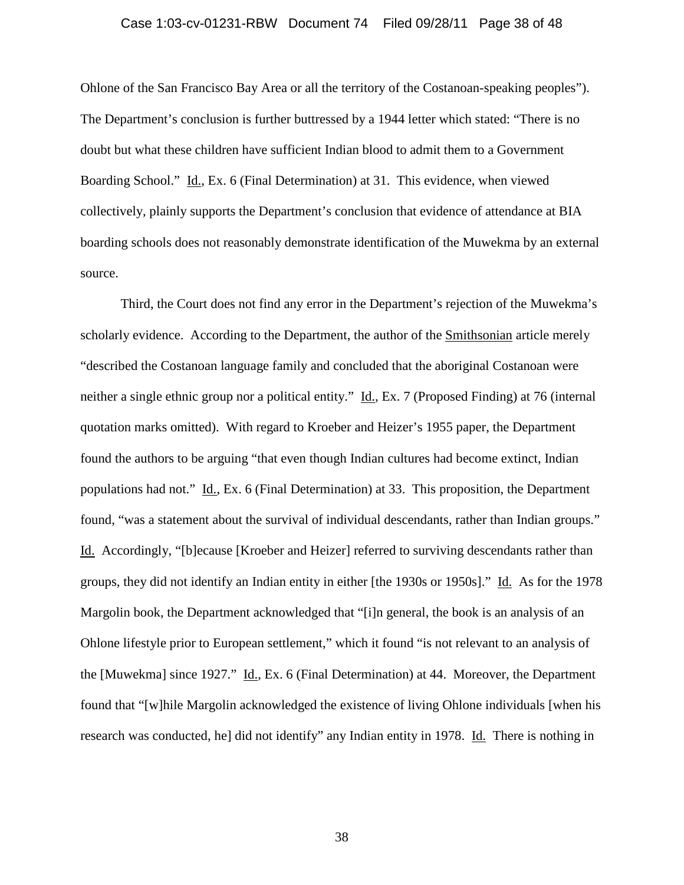### Case 1:03-cv-01231-RBW Document 74 Filed 09/28/11 Page 38 of 48

Ohlone of the San Francisco Bay Area or all the territory of the Costanoan-speaking peoples"). The Department's conclusion is further buttressed by a 1944 letter which stated: "There is no doubt but what these children have sufficient Indian blood to admit them to a Government Boarding School." Id., Ex. 6 (Final Determination) at 31. This evidence, when viewed collectively, plainly supports the Department's conclusion that evidence of attendance at BIA boarding schools does not reasonably demonstrate identification of the Muwekma by an external source.

Third, the Court does not find any error in the Department's rejection of the Muwekma's scholarly evidence. According to the Department, the author of the Smithsonian article merely "described the Costanoan language family and concluded that the aboriginal Costanoan were neither a single ethnic group nor a political entity." Id., Ex. 7 (Proposed Finding) at 76 (internal quotation marks omitted). With regard to Kroeber and Heizer's 1955 paper, the Department found the authors to be arguing "that even though Indian cultures had become extinct, Indian populations had not." Id., Ex. 6 (Final Determination) at 33. This proposition, the Department found, "was a statement about the survival of individual descendants, rather than Indian groups." Id. Accordingly, "[b]ecause [Kroeber and Heizer] referred to surviving descendants rather than groups, they did not identify an Indian entity in either [the 1930s or 1950s]." Id. As for the 1978 Margolin book, the Department acknowledged that "[i]n general, the book is an analysis of an Ohlone lifestyle prior to European settlement," which it found "is not relevant to an analysis of the [Muwekma] since 1927." Id., Ex. 6 (Final Determination) at 44. Moreover, the Department found that "[w]hile Margolin acknowledged the existence of living Ohlone individuals [when his research was conducted, he] did not identify" any Indian entity in 1978. Id. There is nothing in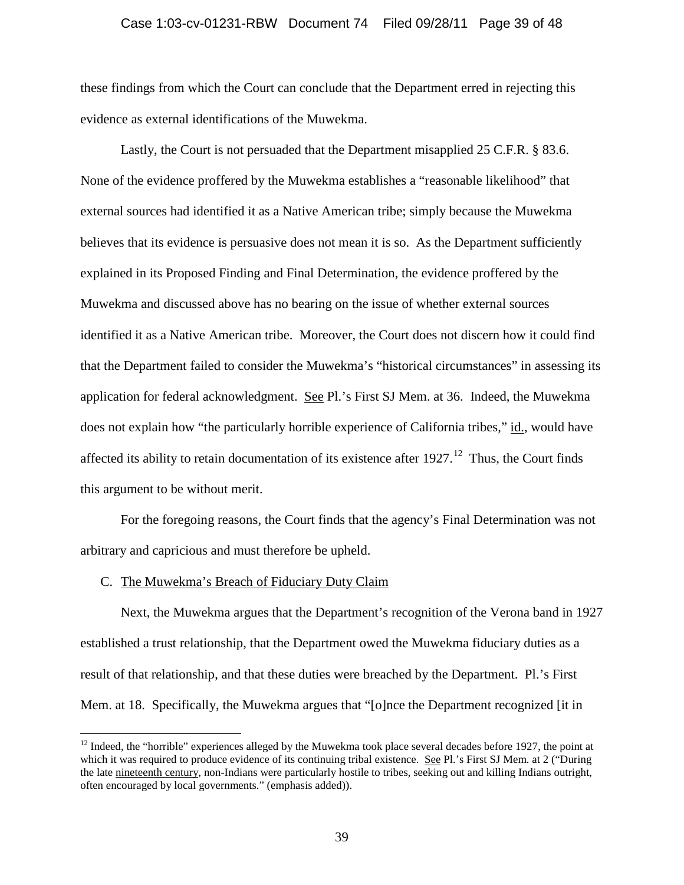### Case 1:03-cv-01231-RBW Document 74 Filed 09/28/11 Page 39 of 48

these findings from which the Court can conclude that the Department erred in rejecting this evidence as external identifications of the Muwekma.

Lastly, the Court is not persuaded that the Department misapplied 25 C.F.R. § 83.6. None of the evidence proffered by the Muwekma establishes a "reasonable likelihood" that external sources had identified it as a Native American tribe; simply because the Muwekma believes that its evidence is persuasive does not mean it is so. As the Department sufficiently explained in its Proposed Finding and Final Determination, the evidence proffered by the Muwekma and discussed above has no bearing on the issue of whether external sources identified it as a Native American tribe. Moreover, the Court does not discern how it could find that the Department failed to consider the Muwekma's "historical circumstances" in assessing its application for federal acknowledgment. See Pl.'s First SJ Mem. at 36. Indeed, the Muwekma does not explain how "the particularly horrible experience of California tribes," id., would have affected its ability to retain documentation of its existence after  $1927$ .<sup>[12](#page-18-0)</sup> Thus, the Court finds this argument to be without merit.

For the foregoing reasons, the Court finds that the agency's Final Determination was not arbitrary and capricious and must therefore be upheld.

#### C. The Muwekma's Breach of Fiduciary Duty Claim

Next, the Muwekma argues that the Department's recognition of the Verona band in 1927 established a trust relationship, that the Department owed the Muwekma fiduciary duties as a result of that relationship, and that these duties were breached by the Department. Pl.'s First Mem. at 18. Specifically, the Muwekma argues that "[o]nce the Department recognized [it in

<span id="page-38-0"></span> $12$  Indeed, the "horrible" experiences alleged by the Muwekma took place several decades before 1927, the point at which it was required to produce evidence of its continuing tribal existence. See Pl.'s First SJ Mem. at 2 ("During the late nineteenth century, non-Indians were particularly hostile to tribes, seeking out and killing Indians outright, often encouraged by local governments." (emphasis added)).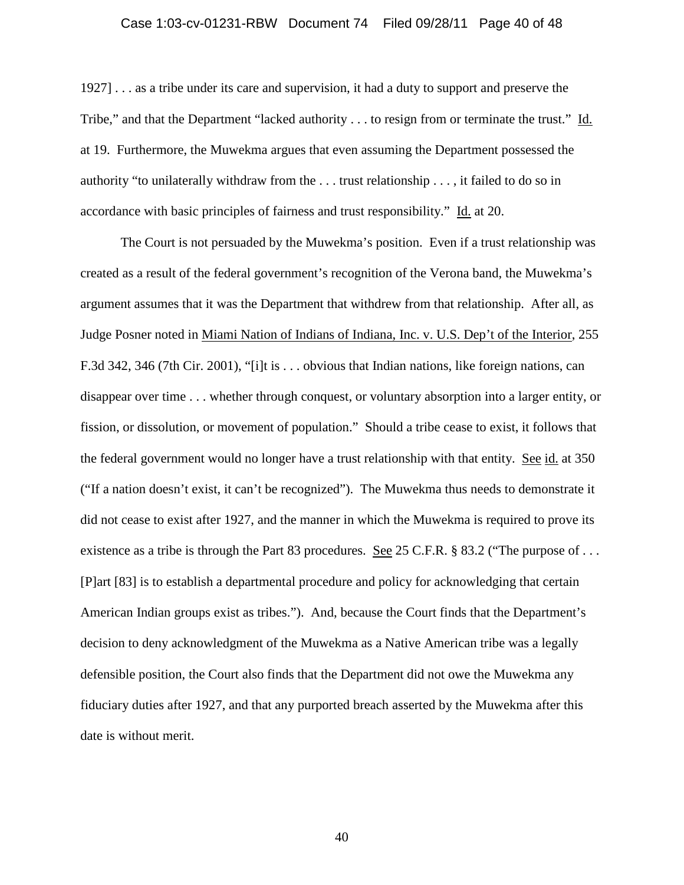### Case 1:03-cv-01231-RBW Document 74 Filed 09/28/11 Page 40 of 48

1927] . . . as a tribe under its care and supervision, it had a duty to support and preserve the Tribe," and that the Department "lacked authority . . . to resign from or terminate the trust." Id. at 19. Furthermore, the Muwekma argues that even assuming the Department possessed the authority "to unilaterally withdraw from the  $\dots$  trust relationship  $\dots$ , it failed to do so in accordance with basic principles of fairness and trust responsibility." Id. at 20.

The Court is not persuaded by the Muwekma's position. Even if a trust relationship was created as a result of the federal government's recognition of the Verona band, the Muwekma's argument assumes that it was the Department that withdrew from that relationship. After all, as Judge Posner noted in Miami Nation of Indians of Indiana, Inc. v. U.S. Dep't of the Interior, 255 F.3d 342, 346 (7th Cir. 2001), "[i]t is . . . obvious that Indian nations, like foreign nations, can disappear over time . . . whether through conquest, or voluntary absorption into a larger entity, or fission, or dissolution, or movement of population." Should a tribe cease to exist, it follows that the federal government would no longer have a trust relationship with that entity. See id. at 350 ("If a nation doesn't exist, it can't be recognized"). The Muwekma thus needs to demonstrate it did not cease to exist after 1927, and the manner in which the Muwekma is required to prove its existence as a tribe is through the Part 83 procedures. See 25 C.F.R. § 83.2 ("The purpose of ... [P]art [83] is to establish a departmental procedure and policy for acknowledging that certain American Indian groups exist as tribes."). And, because the Court finds that the Department's decision to deny acknowledgment of the Muwekma as a Native American tribe was a legally defensible position, the Court also finds that the Department did not owe the Muwekma any fiduciary duties after 1927, and that any purported breach asserted by the Muwekma after this date is without merit.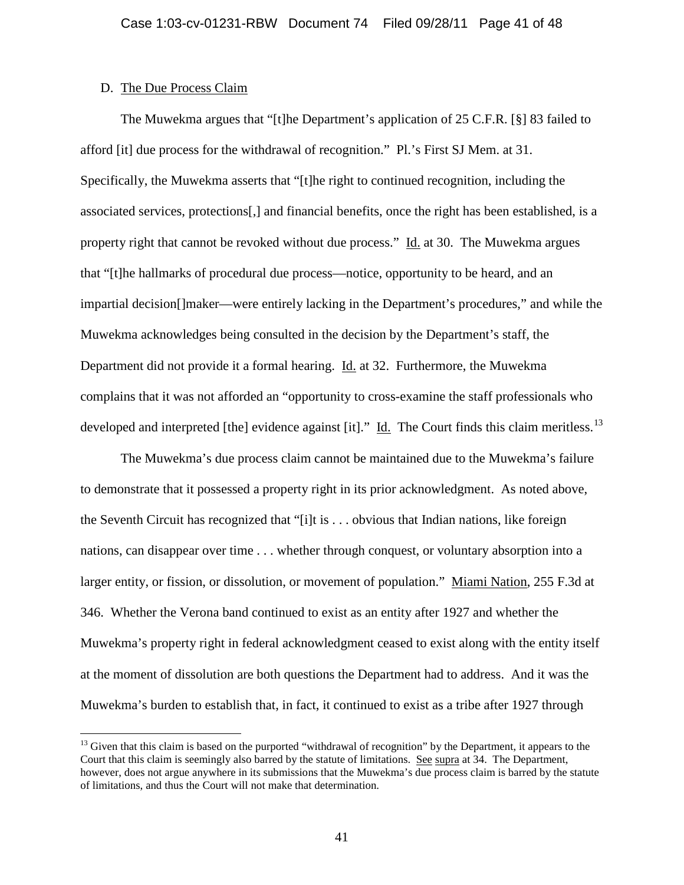## D. The Due Process Claim

The Muwekma argues that "[t]he Department's application of 25 C.F.R. [§] 83 failed to afford [it] due process for the withdrawal of recognition." Pl.'s First SJ Mem. at 31. Specifically, the Muwekma asserts that "[t]he right to continued recognition, including the associated services, protections[,] and financial benefits, once the right has been established, is a property right that cannot be revoked without due process." Id. at 30. The Muwekma argues that "[t]he hallmarks of procedural due process—notice, opportunity to be heard, and an impartial decision[]maker—were entirely lacking in the Department's procedures," and while the Muwekma acknowledges being consulted in the decision by the Department's staff, the Department did not provide it a formal hearing. Id. at 32. Furthermore, the Muwekma complains that it was not afforded an "opportunity to cross-examine the staff professionals who developed and interpreted [the] evidence against [it]." Id. The Court finds this claim meritless.<sup>[13](#page-38-0)</sup>

The Muwekma's due process claim cannot be maintained due to the Muwekma's failure to demonstrate that it possessed a property right in its prior acknowledgment. As noted above, the Seventh Circuit has recognized that "[i]t is . . . obvious that Indian nations, like foreign nations, can disappear over time . . . whether through conquest, or voluntary absorption into a larger entity, or fission, or dissolution, or movement of population." Miami Nation, 255 F.3d at 346. Whether the Verona band continued to exist as an entity after 1927 and whether the Muwekma's property right in federal acknowledgment ceased to exist along with the entity itself at the moment of dissolution are both questions the Department had to address. And it was the Muwekma's burden to establish that, in fact, it continued to exist as a tribe after 1927 through

<span id="page-40-0"></span><sup>&</sup>lt;sup>13</sup> Given that this claim is based on the purported "withdrawal of recognition" by the Department, it appears to the Court that this claim is seemingly also barred by the statute of limitations. See supra at 34. The Department, however, does not argue anywhere in its submissions that the Muwekma's due process claim is barred by the statute of limitations, and thus the Court will not make that determination.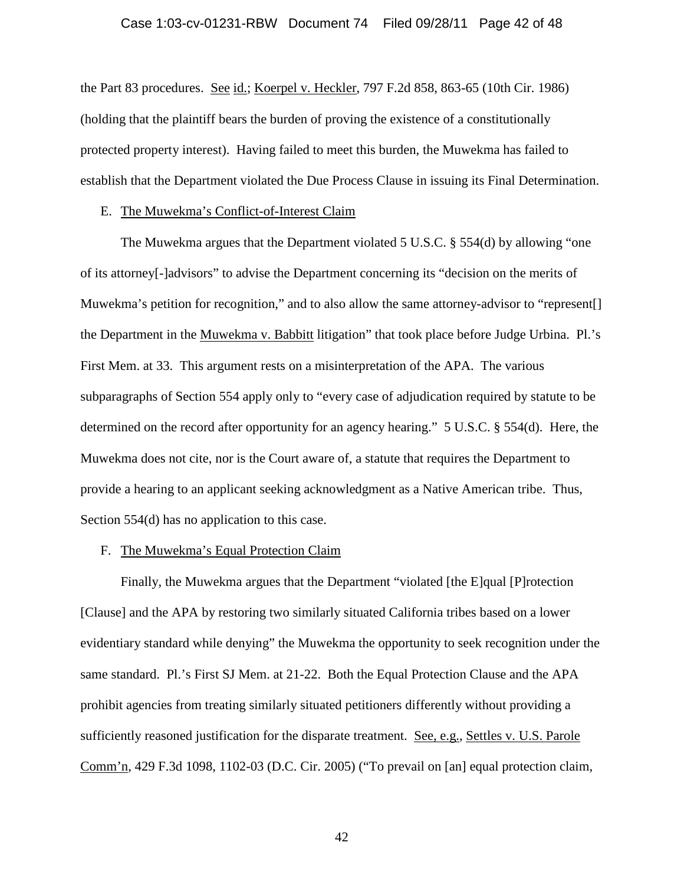### Case 1:03-cv-01231-RBW Document 74 Filed 09/28/11 Page 42 of 48

the Part 83 procedures. See id.; Koerpel v. Heckler, 797 F.2d 858, 863-65 (10th Cir. 1986) (holding that the plaintiff bears the burden of proving the existence of a constitutionally protected property interest). Having failed to meet this burden, the Muwekma has failed to establish that the Department violated the Due Process Clause in issuing its Final Determination.

## E. The Muwekma's Conflict-of-Interest Claim

The Muwekma argues that the Department violated 5 U.S.C. § 554(d) by allowing "one of its attorney[-]advisors" to advise the Department concerning its "decision on the merits of Muwekma's petition for recognition," and to also allow the same attorney-advisor to "represent. the Department in the Muwekma v. Babbitt litigation" that took place before Judge Urbina. Pl.'s First Mem. at 33. This argument rests on a misinterpretation of the APA. The various subparagraphs of Section 554 apply only to "every case of adjudication required by statute to be determined on the record after opportunity for an agency hearing." 5 U.S.C. § 554(d). Here, the Muwekma does not cite, nor is the Court aware of, a statute that requires the Department to provide a hearing to an applicant seeking acknowledgment as a Native American tribe. Thus, Section 554(d) has no application to this case.

## F. The Muwekma's Equal Protection Claim

Finally, the Muwekma argues that the Department "violated [the E]qual [P]rotection [Clause] and the APA by restoring two similarly situated California tribes based on a lower evidentiary standard while denying" the Muwekma the opportunity to seek recognition under the same standard. Pl.'s First SJ Mem. at 21-22. Both the Equal Protection Clause and the APA prohibit agencies from treating similarly situated petitioners differently without providing a sufficiently reasoned justification for the disparate treatment. See, e.g., Settles v. U.S. Parole Comm'n, 429 F.3d 1098, 1102-03 (D.C. Cir. 2005) ("To prevail on [an] equal protection claim,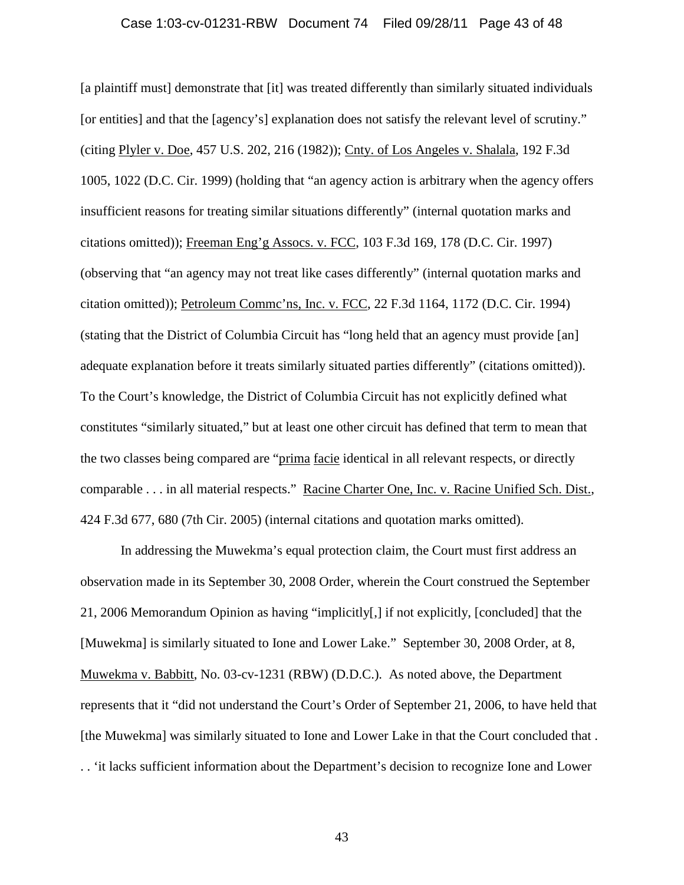### Case 1:03-cv-01231-RBW Document 74 Filed 09/28/11 Page 43 of 48

[a plaintiff must] demonstrate that [it] was treated differently than similarly situated individuals [or entities] and that the [agency's] explanation does not satisfy the relevant level of scrutiny." (citing Plyler v. Doe, 457 U.S. 202, 216 (1982)); Cnty. of Los Angeles v. Shalala, 192 F.3d 1005, 1022 (D.C. Cir. 1999) (holding that "an agency action is arbitrary when the agency offers insufficient reasons for treating similar situations differently" (internal quotation marks and citations omitted)); Freeman Eng'g Assocs. v. FCC, 103 F.3d 169, 178 (D.C. Cir. 1997) (observing that "an agency may not treat like cases differently" (internal quotation marks and citation omitted)); Petroleum Commc'ns, Inc. v. FCC, 22 F.3d 1164, 1172 (D.C. Cir. 1994) (stating that the District of Columbia Circuit has "long held that an agency must provide [an] adequate explanation before it treats similarly situated parties differently" (citations omitted)). To the Court's knowledge, the District of Columbia Circuit has not explicitly defined what constitutes "similarly situated," but at least one other circuit has defined that term to mean that the two classes being compared are "prima facie identical in all relevant respects, or directly comparable . . . in all material respects." Racine Charter One, Inc. v. Racine Unified Sch. Dist., 424 F.3d 677, 680 (7th Cir. 2005) (internal citations and quotation marks omitted).

In addressing the Muwekma's equal protection claim, the Court must first address an observation made in its September 30, 2008 Order, wherein the Court construed the September 21, 2006 Memorandum Opinion as having "implicitly[,] if not explicitly, [concluded] that the [Muwekma] is similarly situated to Ione and Lower Lake." September 30, 2008 Order, at 8, Muwekma v. Babbitt, No. 03-cv-1231 (RBW) (D.D.C.). As noted above, the Department represents that it "did not understand the Court's Order of September 21, 2006, to have held that [the Muwekma] was similarly situated to Ione and Lower Lake in that the Court concluded that . . . 'it lacks sufficient information about the Department's decision to recognize Ione and Lower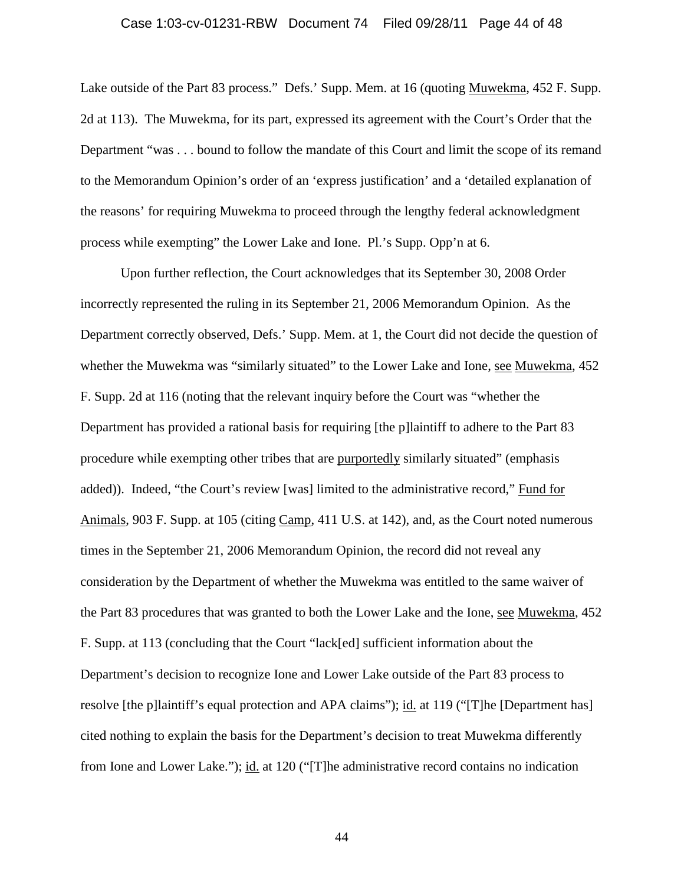### Case 1:03-cv-01231-RBW Document 74 Filed 09/28/11 Page 44 of 48

Lake outside of the Part 83 process." Defs.' Supp. Mem. at 16 (quoting Muwekma, 452 F. Supp. 2d at 113). The Muwekma, for its part, expressed its agreement with the Court's Order that the Department "was . . . bound to follow the mandate of this Court and limit the scope of its remand to the Memorandum Opinion's order of an 'express justification' and a 'detailed explanation of the reasons' for requiring Muwekma to proceed through the lengthy federal acknowledgment process while exempting" the Lower Lake and Ione. Pl.'s Supp. Opp'n at 6.

Upon further reflection, the Court acknowledges that its September 30, 2008 Order incorrectly represented the ruling in its September 21, 2006 Memorandum Opinion. As the Department correctly observed, Defs.' Supp. Mem. at 1, the Court did not decide the question of whether the Muwekma was "similarly situated" to the Lower Lake and Ione, see Muwekma, 452 F. Supp. 2d at 116 (noting that the relevant inquiry before the Court was "whether the Department has provided a rational basis for requiring [the p]laintiff to adhere to the Part 83 procedure while exempting other tribes that are purportedly similarly situated" (emphasis added)). Indeed, "the Court's review [was] limited to the administrative record," Fund for Animals, 903 F. Supp. at 105 (citing Camp, 411 U.S. at 142), and, as the Court noted numerous times in the September 21, 2006 Memorandum Opinion, the record did not reveal any consideration by the Department of whether the Muwekma was entitled to the same waiver of the Part 83 procedures that was granted to both the Lower Lake and the Ione, see Muwekma, 452 F. Supp. at 113 (concluding that the Court "lack[ed] sufficient information about the Department's decision to recognize Ione and Lower Lake outside of the Part 83 process to resolve [the p]laintiff's equal protection and APA claims"); id. at 119 ("[T]he [Department has] cited nothing to explain the basis for the Department's decision to treat Muwekma differently from Ione and Lower Lake."); id. at 120 ("[T]he administrative record contains no indication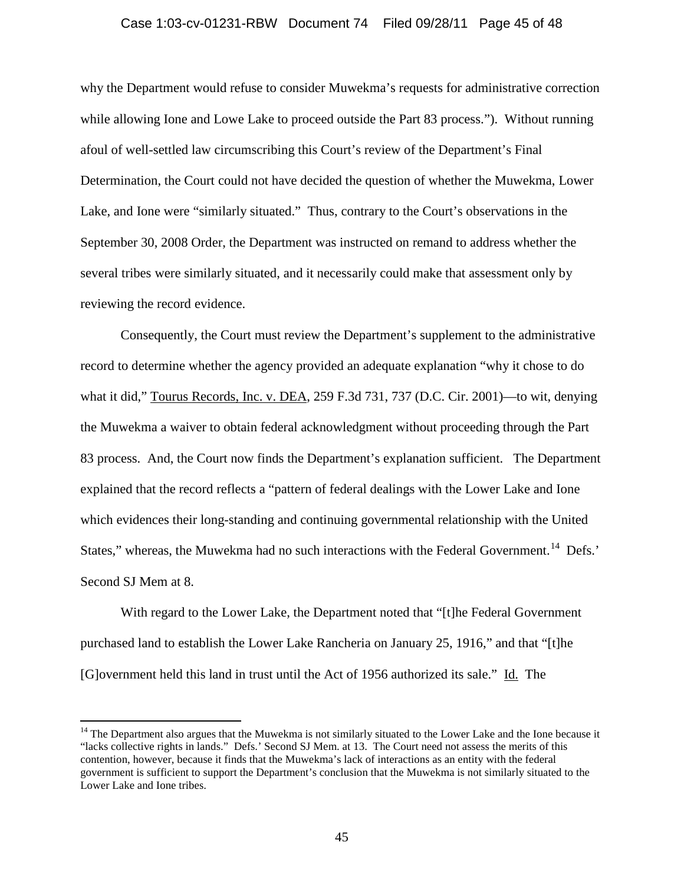### Case 1:03-cv-01231-RBW Document 74 Filed 09/28/11 Page 45 of 48

why the Department would refuse to consider Muwekma's requests for administrative correction while allowing Ione and Lowe Lake to proceed outside the Part 83 process."). Without running afoul of well-settled law circumscribing this Court's review of the Department's Final Determination, the Court could not have decided the question of whether the Muwekma, Lower Lake, and Ione were "similarly situated." Thus, contrary to the Court's observations in the September 30, 2008 Order, the Department was instructed on remand to address whether the several tribes were similarly situated, and it necessarily could make that assessment only by reviewing the record evidence.

Consequently, the Court must review the Department's supplement to the administrative record to determine whether the agency provided an adequate explanation "why it chose to do what it did," Tourus Records, Inc. v. DEA, 259 F.3d 731, 737 (D.C. Cir. 2001)—to wit, denying the Muwekma a waiver to obtain federal acknowledgment without proceeding through the Part 83 process. And, the Court now finds the Department's explanation sufficient. The Department explained that the record reflects a "pattern of federal dealings with the Lower Lake and Ione which evidences their long-standing and continuing governmental relationship with the United States," whereas, the Muwekma had no such interactions with the Federal Government.<sup>[14](#page-40-0)</sup> Defs.' Second SJ Mem at 8.

With regard to the Lower Lake, the Department noted that "[t]he Federal Government purchased land to establish the Lower Lake Rancheria on January 25, 1916," and that "[t]he [G]overnment held this land in trust until the Act of 1956 authorized its sale." Id. The

<span id="page-44-0"></span> $14$  The Department also argues that the Muwekma is not similarly situated to the Lower Lake and the Ione because it "lacks collective rights in lands." Defs.' Second SJ Mem. at 13. The Court need not assess the merits of this contention, however, because it finds that the Muwekma's lack of interactions as an entity with the federal government is sufficient to support the Department's conclusion that the Muwekma is not similarly situated to the Lower Lake and Ione tribes.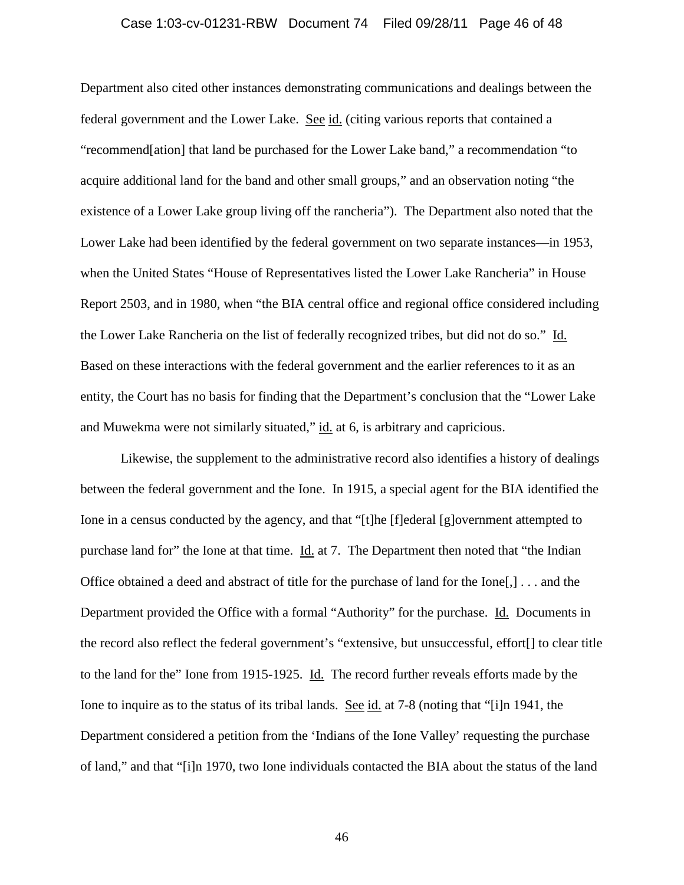### Case 1:03-cv-01231-RBW Document 74 Filed 09/28/11 Page 46 of 48

Department also cited other instances demonstrating communications and dealings between the federal government and the Lower Lake. See id. (citing various reports that contained a "recommend[ation] that land be purchased for the Lower Lake band," a recommendation "to acquire additional land for the band and other small groups," and an observation noting "the existence of a Lower Lake group living off the rancheria"). The Department also noted that the Lower Lake had been identified by the federal government on two separate instances—in 1953, when the United States "House of Representatives listed the Lower Lake Rancheria" in House Report 2503, and in 1980, when "the BIA central office and regional office considered including the Lower Lake Rancheria on the list of federally recognized tribes, but did not do so." Id. Based on these interactions with the federal government and the earlier references to it as an entity, the Court has no basis for finding that the Department's conclusion that the "Lower Lake and Muwekma were not similarly situated," id. at 6, is arbitrary and capricious.

Likewise, the supplement to the administrative record also identifies a history of dealings between the federal government and the Ione. In 1915, a special agent for the BIA identified the Ione in a census conducted by the agency, and that "[t]he [f]ederal [g]overnment attempted to purchase land for" the Ione at that time. Id. at 7. The Department then noted that "the Indian Office obtained a deed and abstract of title for the purchase of land for the Ione[,] . . . and the Department provided the Office with a formal "Authority" for the purchase. Id. Documents in the record also reflect the federal government's "extensive, but unsuccessful, effort[] to clear title to the land for the" Ione from 1915-1925. Id. The record further reveals efforts made by the Ione to inquire as to the status of its tribal lands. See id. at 7-8 (noting that "[i]n 1941, the Department considered a petition from the 'Indians of the Ione Valley' requesting the purchase of land," and that "[i]n 1970, two Ione individuals contacted the BIA about the status of the land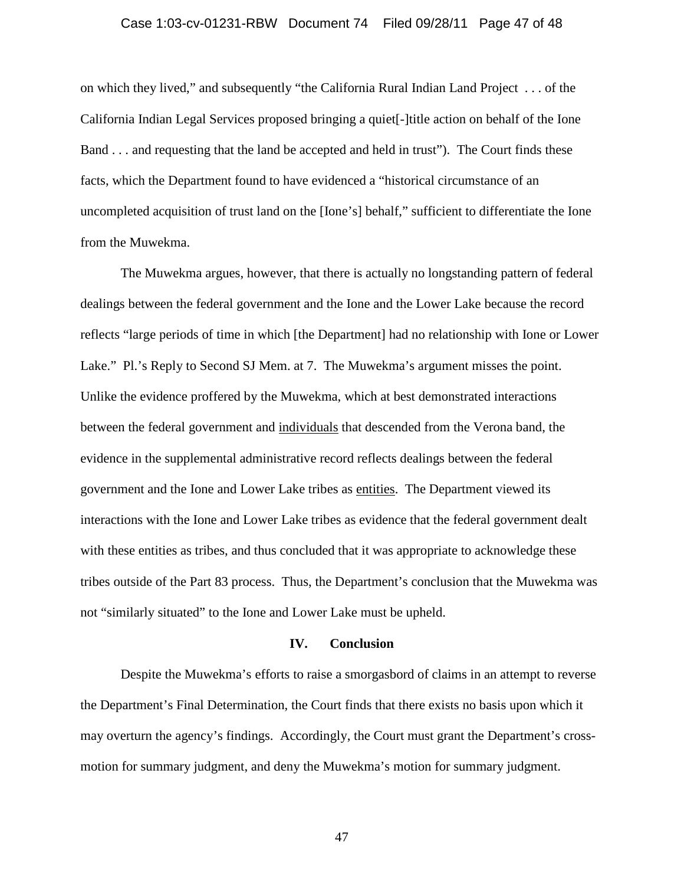### Case 1:03-cv-01231-RBW Document 74 Filed 09/28/11 Page 47 of 48

on which they lived," and subsequently "the California Rural Indian Land Project . . . of the California Indian Legal Services proposed bringing a quiet[-]title action on behalf of the Ione Band . . . and requesting that the land be accepted and held in trust"). The Court finds these facts, which the Department found to have evidenced a "historical circumstance of an uncompleted acquisition of trust land on the [Ione's] behalf," sufficient to differentiate the Ione from the Muwekma.

The Muwekma argues, however, that there is actually no longstanding pattern of federal dealings between the federal government and the Ione and the Lower Lake because the record reflects "large periods of time in which [the Department] had no relationship with Ione or Lower Lake." Pl.'s Reply to Second SJ Mem. at 7. The Muwekma's argument misses the point. Unlike the evidence proffered by the Muwekma, which at best demonstrated interactions between the federal government and individuals that descended from the Verona band, the evidence in the supplemental administrative record reflects dealings between the federal government and the Ione and Lower Lake tribes as entities. The Department viewed its interactions with the Ione and Lower Lake tribes as evidence that the federal government dealt with these entities as tribes, and thus concluded that it was appropriate to acknowledge these tribes outside of the Part 83 process. Thus, the Department's conclusion that the Muwekma was not "similarly situated" to the Ione and Lower Lake must be upheld.

### **IV. Conclusion**

Despite the Muwekma's efforts to raise a smorgasbord of claims in an attempt to reverse the Department's Final Determination, the Court finds that there exists no basis upon which it may overturn the agency's findings. Accordingly, the Court must grant the Department's crossmotion for summary judgment, and deny the Muwekma's motion for summary judgment.